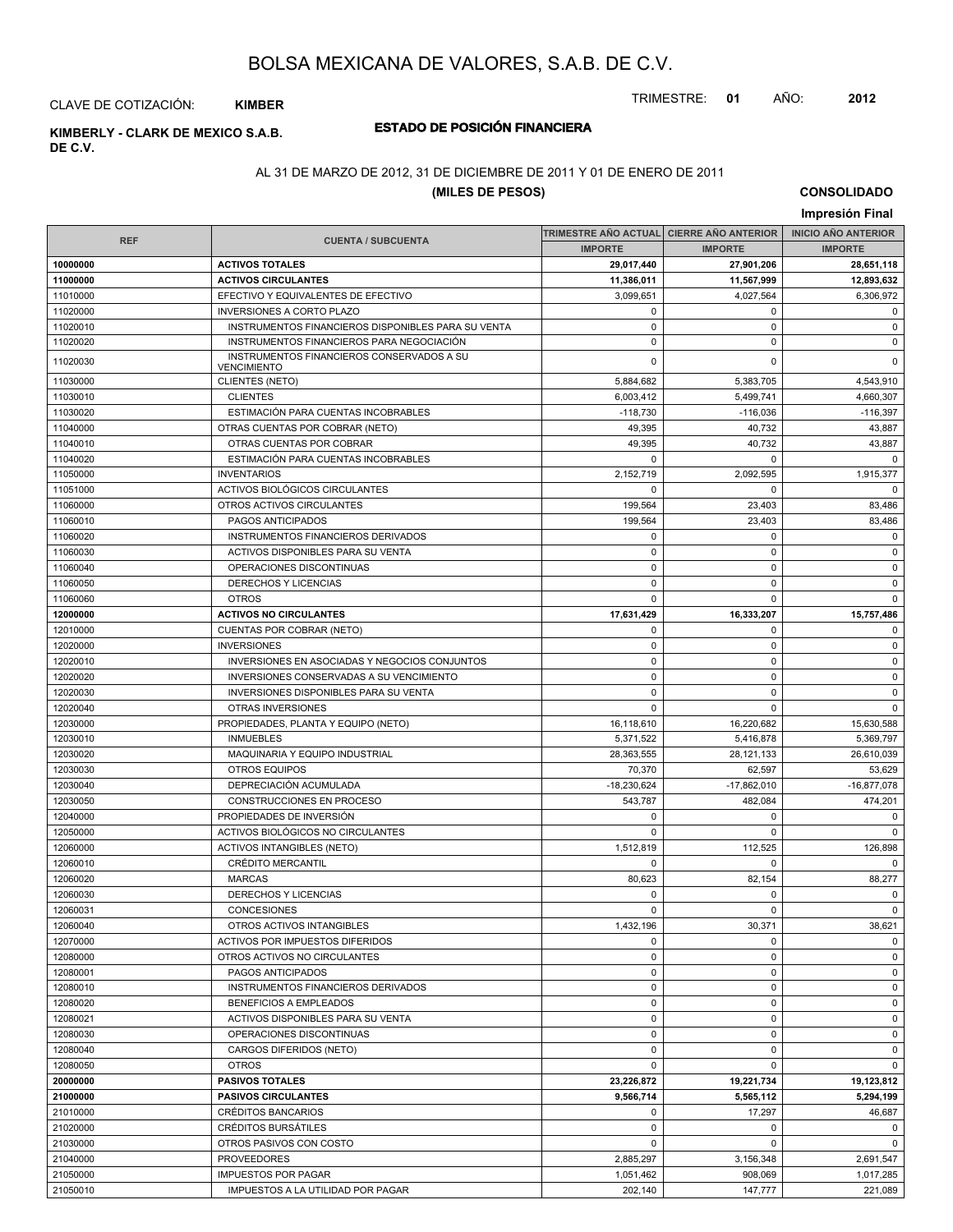TRIMESTRE: **01** AÑO: **2012**

#### CLAVE DE COTIZACIÓN: **KIMBER**

## **DE C.V.**

### **ESTADO DE POSICIÓN FINANCIERA KIMBERLY - CLARK DE MEXICO S.A.B.**

### AL 31 DE MARZO DE 2012, 31 DE DICIEMBRE DE 2011 Y 01 DE ENERO DE 2011

#### **(MILES DE PESOS)**

**CONSOLIDADO Impresión Final**

|                      |                                                                 |                       | TRIMESTRE AÑO ACTUAL CIERRE AÑO ANTERIOR | <b>INICIO ANO ANTERIOR</b> |
|----------------------|-----------------------------------------------------------------|-----------------------|------------------------------------------|----------------------------|
| <b>REF</b>           | <b>CUENTA / SUBCUENTA</b>                                       | <b>IMPORTE</b>        | <b>IMPORTE</b>                           | <b>IMPORTE</b>             |
| 10000000             | <b>ACTIVOS TOTALES</b>                                          | 29,017,440            | 27,901,206                               | 28,651,118                 |
| 11000000             | <b>ACTIVOS CIRCULANTES</b>                                      | 11,386,011            | 11,567,999                               | 12,893,632                 |
| 11010000             | EFECTIVO Y EQUIVALENTES DE EFECTIVO                             | 3,099,651             | 4,027,564                                | 6,306,972                  |
| 11020000             | <b>INVERSIONES A CORTO PLAZO</b>                                | $\mathbf 0$           | 0                                        | $\mathbf 0$                |
| 11020010             | INSTRUMENTOS FINANCIEROS DISPONIBLES PARA SU VENTA              | $\pmb{0}$             | $\pmb{0}$                                | 0                          |
| 11020020             | INSTRUMENTOS FINANCIEROS PARA NEGOCIACIÓN                       | $\mathbf 0$           | $\mathbf 0$                              | 0                          |
| 11020030             | INSTRUMENTOS FINANCIEROS CONSERVADOS A SU                       | $\mathbf 0$           | $\Omega$                                 | $\mathbf 0$                |
| 11030000             | <b>VENCIMIENTO</b><br>CLIENTES (NETO)                           | 5,884,682             | 5,383,705                                | 4,543,910                  |
|                      | <b>CLIENTES</b>                                                 |                       |                                          |                            |
| 11030010             |                                                                 | 6,003,412             | 5,499,741<br>$-116.036$                  | 4,660,307                  |
| 11030020<br>11040000 | ESTIMACIÓN PARA CUENTAS INCOBRABLES                             | $-118,730$<br>49,395  | 40,732                                   | $-116,397$<br>43,887       |
|                      | OTRAS CUENTAS POR COBRAR (NETO)                                 |                       |                                          |                            |
| 11040010<br>11040020 | OTRAS CUENTAS POR COBRAR<br>ESTIMACIÓN PARA CUENTAS INCOBRABLES | 49,395<br>0           | 40,732<br>$\mathbf 0$                    | 43,887<br>$\Omega$         |
|                      | <b>INVENTARIOS</b>                                              |                       |                                          |                            |
| 11050000             |                                                                 | 2,152,719<br>$\Omega$ | 2,092,595                                | 1,915,377<br>$\Omega$      |
| 11051000             | ACTIVOS BIOLÓGICOS CIRCULANTES                                  |                       | $\Omega$                                 |                            |
| 11060000             | OTROS ACTIVOS CIRCULANTES                                       | 199,564               | 23,403                                   | 83,486                     |
| 11060010             | PAGOS ANTICIPADOS                                               | 199,564               | 23,403                                   | 83,486                     |
| 11060020             | INSTRUMENTOS FINANCIEROS DERIVADOS                              | $\mathbf 0$           | 0                                        | $\mathbf 0$                |
| 11060030             | ACTIVOS DISPONIBLES PARA SU VENTA                               | $\mathbf 0$           | $\mathbf 0$                              | $\mathbf 0$                |
| 11060040             | OPERACIONES DISCONTINUAS                                        | $\mathbf 0$           | $\mathbf 0$                              | $\mathbf 0$                |
| 11060050             | DERECHOS Y LICENCIAS                                            | $\mathbf 0$           | 0                                        | $\mathbf 0$                |
| 11060060             | <b>OTROS</b>                                                    | $\mathbf 0$           | $\mathbf 0$                              | $\mathbf 0$                |
| 12000000             | <b>ACTIVOS NO CIRCULANTES</b>                                   | 17,631,429            | 16,333,207                               | 15,757,486                 |
| 12010000             | CUENTAS POR COBRAR (NETO)                                       | $\mathbf 0$           | 0                                        | $\mathbf 0$                |
| 12020000             | <b>INVERSIONES</b>                                              | $\mathbf 0$           | 0                                        | $\mathbf 0$                |
| 12020010             | INVERSIONES EN ASOCIADAS Y NEGOCIOS CONJUNTOS                   | $\mathbf 0$           | $\mathbf 0$                              | $\mathsf 0$                |
| 12020020             | INVERSIONES CONSERVADAS A SU VENCIMIENTO                        | $\mathbf 0$           | 0                                        | $\mathbf 0$                |
| 12020030             | <b>INVERSIONES DISPONIBLES PARA SU VENTA</b>                    | $\mathbf 0$           | $\mathbf 0$                              | $\mathbf 0$                |
| 12020040             | OTRAS INVERSIONES                                               | $\mathbf 0$           | $\mathbf 0$                              | $\mathbf 0$                |
| 12030000             | PROPIEDADES, PLANTA Y EQUIPO (NETO)                             | 16,118,610            | 16,220,682                               | 15,630,588                 |
| 12030010             | <b>INMUEBLES</b>                                                | 5,371,522             | 5,416,878                                | 5,369,797                  |
| 12030020             | MAQUINARIA Y EQUIPO INDUSTRIAL                                  | 28,363,555            | 28,121,133                               | 26,610,039                 |
| 12030030             | <b>OTROS EQUIPOS</b>                                            | 70,370                | 62,597                                   | 53,629                     |
| 12030040             | DEPRECIACIÓN ACUMULADA                                          | $-18,230,624$         | $-17,862,010$                            | $-16,877,078$              |
| 12030050             | CONSTRUCCIONES EN PROCESO                                       | 543,787               | 482,084                                  | 474,201                    |
| 12040000             | PROPIEDADES DE INVERSIÓN                                        | $\mathbf 0$           | 0                                        | 0                          |
| 12050000             | ACTIVOS BIOLÓGICOS NO CIRCULANTES                               | $\mathbf 0$           | $\mathbf 0$                              | $\mathbf 0$                |
| 12060000             | <b>ACTIVOS INTANGIBLES (NETO)</b>                               | 1,512,819             | 112,525                                  | 126,898                    |
| 12060010             | <b>CRÉDITO MERCANTIL</b>                                        | $\mathbf 0$           | 0                                        | $\mathbf 0$                |
| 12060020             | <b>MARCAS</b>                                                   | 80,623                | 82,154                                   | 88,277                     |
| 12060030             | DERECHOS Y LICENCIAS                                            | $\mathbf 0$           | 0                                        | $\mathbf 0$                |
| 12060031             | CONCESIONES                                                     | $\mathbf 0$           | 0                                        | $\mathbf 0$                |
| 12060040             | OTROS ACTIVOS INTANGIBLES                                       | 1,432,196             | 30,371                                   | 38,621                     |
| 12070000             | ACTIVOS POR IMPUESTOS DIFERIDOS                                 | 0                     | 0                                        | $\mathbf 0$                |
| 12080000             | OTROS ACTIVOS NO CIRCULANTES                                    | $\mathbf 0$           | 0                                        | $\mathbf 0$                |
| 12080001             | PAGOS ANTICIPADOS                                               | 0                     | 0                                        | $\mathbf 0$                |
| 12080010             | INSTRUMENTOS FINANCIEROS DERIVADOS                              | 0                     | $\pmb{0}$                                | $\mathbf 0$                |
| 12080020             | <b>BENEFICIOS A EMPLEADOS</b>                                   | $\mathbf 0$           | 0                                        | $\mathbf 0$                |
| 12080021             | ACTIVOS DISPONIBLES PARA SU VENTA                               | $\mathbf 0$           | $\mathbf 0$                              | $\mathbf 0$                |
| 12080030             | OPERACIONES DISCONTINUAS                                        | $\mathbf 0$           | $\mathsf 0$                              | $\mathsf 0$                |
| 12080040             | CARGOS DIFERIDOS (NETO)                                         | $\mathbf 0$           | 0                                        | $\mathbf 0$                |
| 12080050             | <b>OTROS</b>                                                    | $\mathbf 0$           | $\mathbf 0$                              | $\mathbf 0$                |
| 20000000             | <b>PASIVOS TOTALES</b>                                          | 23,226,872            | 19,221,734                               | 19,123,812                 |
| 21000000             | <b>PASIVOS CIRCULANTES</b>                                      | 9,566,714             | 5,565,112                                | 5,294,199                  |
| 21010000             | <b>CRÉDITOS BANCARIOS</b>                                       | 0                     | 17,297                                   | 46,687                     |
| 21020000             | CRÉDITOS BURSÁTILES                                             | 0                     | 0                                        | $\mathbf 0$                |
| 21030000             | OTROS PASIVOS CON COSTO                                         | $\mathbf 0$           | 0                                        | $\mathbf 0$                |
| 21040000             | <b>PROVEEDORES</b>                                              | 2,885,297             | 3,156,348                                | 2,691,547                  |
| 21050000             | <b>IMPUESTOS POR PAGAR</b>                                      | 1,051,462             | 908,069                                  | 1,017,285                  |
| 21050010             | IMPUESTOS A LA UTILIDAD POR PAGAR                               | 202,140               | 147,777                                  | 221,089                    |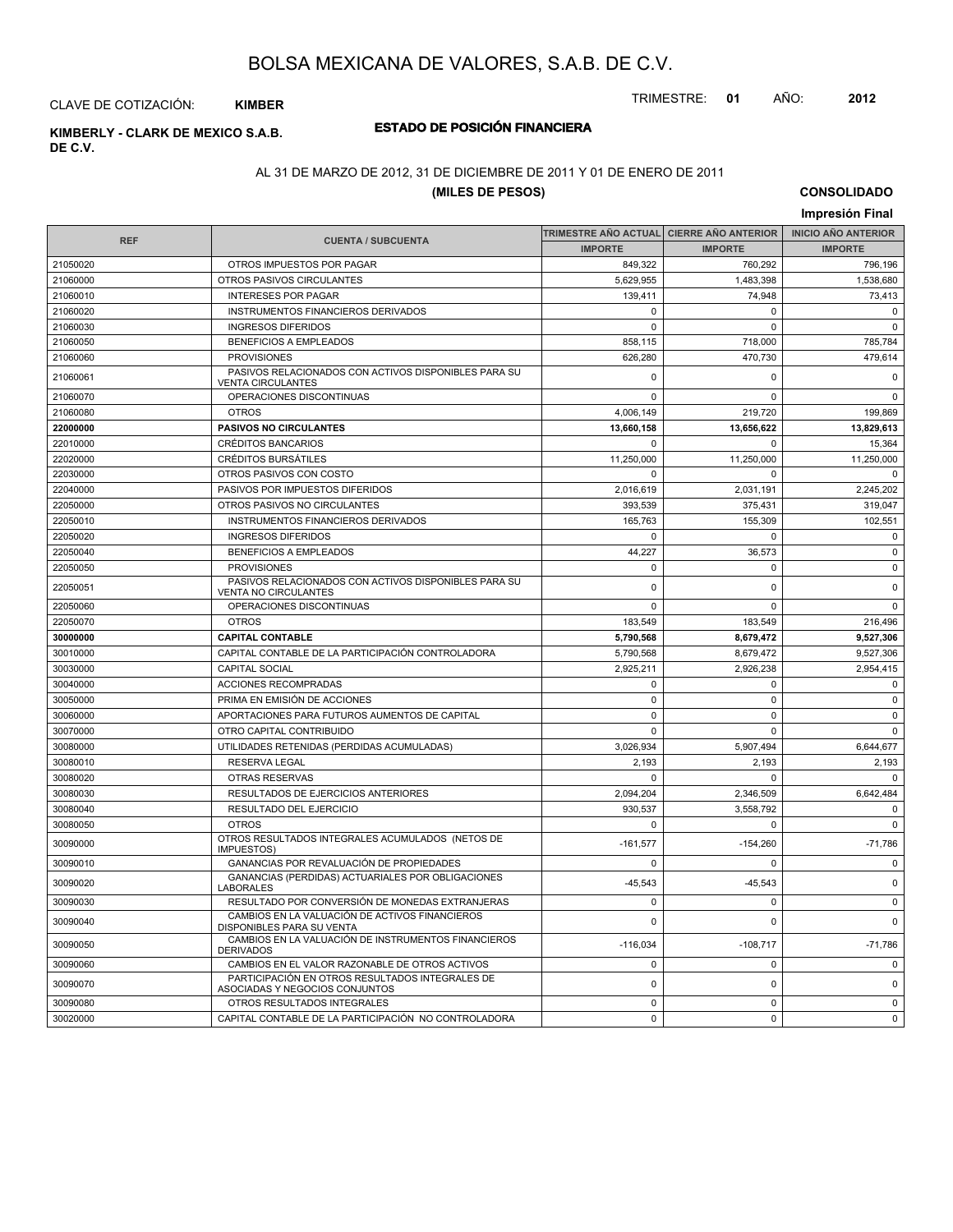TRIMESTRE: **01** AÑO: **2012**

#### CLAVE DE COTIZACIÓN: **KIMBER**

## **DE C.V.**

### **ESTADO DE POSICIÓN FINANCIERA KIMBERLY - CLARK DE MEXICO S.A.B.**

### AL 31 DE MARZO DE 2012, 31 DE DICIEMBRE DE 2011 Y 01 DE ENERO DE 2011

#### **(MILES DE PESOS)**

**CONSOLIDADO Impresión Final**

|            |                                                                                     |                | TRIMESTRE AÑO ACTUAL CIERRE AÑO ANTERIOR | <b>INICIO AÑO ANTERIOR</b> |
|------------|-------------------------------------------------------------------------------------|----------------|------------------------------------------|----------------------------|
| <b>REF</b> | <b>CUENTA / SUBCUENTA</b>                                                           | <b>IMPORTE</b> | <b>IMPORTE</b>                           | <b>IMPORTE</b>             |
| 21050020   | OTROS IMPUESTOS POR PAGAR                                                           | 849,322        | 760.292                                  | 796,196                    |
| 21060000   | OTROS PASIVOS CIRCULANTES                                                           | 5,629,955      | 1,483,398                                | 1,538,680                  |
| 21060010   | <b>INTERESES POR PAGAR</b>                                                          | 139.411        | 74.948                                   | 73,413                     |
| 21060020   | INSTRUMENTOS FINANCIEROS DERIVADOS                                                  | 0              | $\pmb{0}$                                | 0                          |
| 21060030   | <b>INGRESOS DIFERIDOS</b>                                                           | $\mathbf 0$    | $\mathbf 0$                              | $\mathbf 0$                |
| 21060050   | <b>BENEFICIOS A EMPLEADOS</b>                                                       | 858,115        | 718,000                                  | 785,784                    |
| 21060060   | <b>PROVISIONES</b>                                                                  | 626,280        | 470.730                                  | 479,614                    |
| 21060061   | PASIVOS RELACIONADOS CON ACTIVOS DISPONIBLES PARA SU<br><b>VENTA CIRCULANTES</b>    | 0              | 0                                        | $\mathbf 0$                |
| 21060070   | OPERACIONES DISCONTINUAS                                                            | $\mathbf 0$    | $\pmb{0}$                                | $\mathbf 0$                |
| 21060080   | <b>OTROS</b>                                                                        | 4,006,149      | 219,720                                  | 199,869                    |
| 22000000   | <b>PASIVOS NO CIRCULANTES</b>                                                       | 13,660,158     | 13,656,622                               | 13,829,613                 |
| 22010000   | <b>CRÉDITOS BANCARIOS</b>                                                           | $\mathbf 0$    | $\Omega$                                 | 15,364                     |
| 22020000   | <b>CRÉDITOS BURSÁTILES</b>                                                          | 11,250,000     | 11,250,000                               | 11,250,000                 |
| 22030000   | OTROS PASIVOS CON COSTO                                                             | $\mathbf 0$    | $\Omega$                                 | $\mathbf 0$                |
| 22040000   | PASIVOS POR IMPUESTOS DIFERIDOS                                                     | 2,016,619      | 2,031,191                                | 2,245,202                  |
| 22050000   | OTROS PASIVOS NO CIRCULANTES                                                        | 393,539        | 375,431                                  | 319,047                    |
| 22050010   | INSTRUMENTOS FINANCIEROS DERIVADOS                                                  | 165,763        | 155,309                                  | 102,551                    |
| 22050020   | <b>INGRESOS DIFERIDOS</b>                                                           | $\mathbf 0$    | $\mathbf 0$                              | $\mathbf 0$                |
| 22050040   | <b>BENEFICIOS A EMPLEADOS</b>                                                       | 44,227         | 36,573                                   | $\pmb{0}$                  |
| 22050050   | <b>PROVISIONES</b>                                                                  | $\mathbf 0$    | 0                                        | $\mathbf 0$                |
| 22050051   | PASIVOS RELACIONADOS CON ACTIVOS DISPONIBLES PARA SU<br><b>VENTA NO CIRCULANTES</b> | 0              | $\Omega$                                 | $\mathbf 0$                |
| 22050060   | OPERACIONES DISCONTINUAS                                                            | $\mathbf 0$    | $\Omega$                                 | $\mathbf 0$                |
| 22050070   | <b>OTROS</b>                                                                        | 183,549        | 183,549                                  | 216,496                    |
| 30000000   | <b>CAPITAL CONTABLE</b>                                                             | 5,790,568      | 8,679,472                                | 9,527,306                  |
| 30010000   | CAPITAL CONTABLE DE LA PARTICIPACIÓN CONTROLADORA                                   | 5,790,568      | 8,679,472                                | 9,527,306                  |
| 30030000   | CAPITAL SOCIAL                                                                      | 2,925,211      | 2,926,238                                | 2,954,415                  |
| 30040000   | ACCIONES RECOMPRADAS                                                                | $\mathbf 0$    | $\Omega$                                 | $\mathbf 0$                |
| 30050000   | PRIMA EN EMISIÓN DE ACCIONES                                                        | $\mathbf 0$    | $\Omega$                                 | $\mathbf 0$                |
| 30060000   | APORTACIONES PARA FUTUROS AUMENTOS DE CAPITAL                                       | $\mathbf 0$    | $\Omega$                                 | $\mathbf 0$                |
| 30070000   | OTRO CAPITAL CONTRIBUIDO                                                            | $\mathbf 0$    | $\Omega$                                 | $\mathbf 0$                |
| 30080000   | UTILIDADES RETENIDAS (PERDIDAS ACUMULADAS)                                          | 3,026,934      | 5,907,494                                | 6,644,677                  |
| 30080010   | <b>RESERVA LEGAL</b>                                                                | 2,193          | 2,193                                    | 2,193                      |
| 30080020   | <b>OTRAS RESERVAS</b>                                                               | $\Omega$       | $\Omega$                                 | $\Omega$                   |
| 30080030   | RESULTADOS DE EJERCICIOS ANTERIORES                                                 | 2,094,204      | 2,346,509                                | 6,642,484                  |
| 30080040   | <b>RESULTADO DEL EJERCICIO</b>                                                      | 930.537        | 3.558.792                                | $\mathbf 0$                |
| 30080050   | <b>OTROS</b>                                                                        | $\mathbf 0$    | $\pmb{0}$                                | $\mathbf 0$                |
| 30090000   | OTROS RESULTADOS INTEGRALES ACUMULADOS (NETOS DE<br><b>IMPUESTOS</b> )              | $-161,577$     | $-154,260$                               | $-71,786$                  |
| 30090010   | GANANCIAS POR REVALUACIÓN DE PROPIEDADES                                            | $\mathbf 0$    | $\Omega$                                 | $\mathbf 0$                |
| 30090020   | GANANCIAS (PERDIDAS) ACTUARIALES POR OBLIGACIONES<br><b>LABORALES</b>               | $-45,543$      | $-45,543$                                | 0                          |
| 30090030   | RESULTADO POR CONVERSIÓN DE MONEDAS EXTRANJERAS                                     | 0              | 0                                        | $\mathbf 0$                |
| 30090040   | CAMBIOS EN LA VALUACIÓN DE ACTIVOS FINANCIEROS<br>DISPONIBLES PARA SU VENTA         | $\mathbf 0$    | $\Omega$                                 | $\mathbf 0$                |
| 30090050   | CAMBIOS EN LA VALUACIÓN DE INSTRUMENTOS FINANCIEROS<br><b>DERIVADOS</b>             | $-116,034$     | $-108,717$                               | $-71,786$                  |
| 30090060   | CAMBIOS EN EL VALOR RAZONABLE DE OTROS ACTIVOS                                      | $\pmb{0}$      | $\pmb{0}$                                | $\mathbf 0$                |
| 30090070   | PARTICIPACIÓN EN OTROS RESULTADOS INTEGRALES DE<br>ASOCIADAS Y NEGOCIOS CONJUNTOS   | $\mathbf 0$    | $\Omega$                                 | $\mathbf 0$                |
| 30090080   | OTROS RESULTADOS INTEGRALES                                                         | $\Omega$       | $\mathbf 0$                              | $\mathbf 0$                |
| 30020000   | CAPITAL CONTABLE DE LA PARTICIPACIÓN NO CONTROLADORA                                | $\mathbf 0$    | $\mathbf 0$                              | $\mathbf 0$                |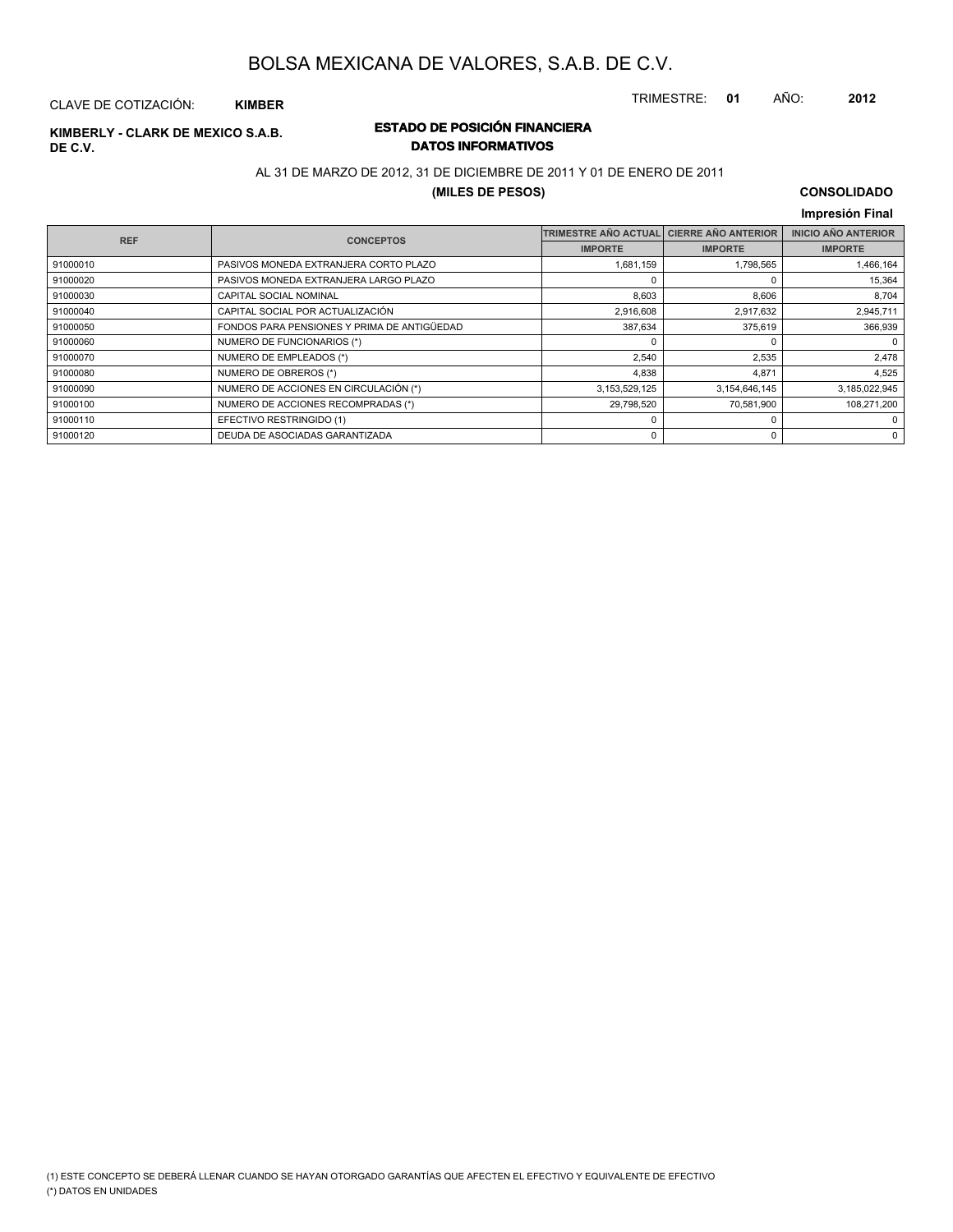TRIMESTRE: **01** AÑO: **2012**

#### CLAVE DE COTIZACIÓN: **KIMBER**

# **DE C.V.**

### **ESTADO DE POSICIÓN FINANCIERA KIMBERLY - CLARK DE MEXICO S.A.B. DATOS INFORMATIVOS**

### AL 31 DE MARZO DE 2012, 31 DE DICIEMBRE DE 2011 Y 01 DE ENERO DE 2011

#### **(MILES DE PESOS)**

#### **CONSOLIDADO Impresión Final**

| <b>REF</b> | <b>CONCEPTOS</b>                            | <b>TRIMESTRE AÑO ACTUAL</b> | <b>CIERRE AÑO ANTERIOR</b> | <b>INICIO AÑO ANTERIOR</b> |
|------------|---------------------------------------------|-----------------------------|----------------------------|----------------------------|
|            |                                             | <b>IMPORTE</b>              | <b>IMPORTE</b>             | <b>IMPORTE</b>             |
| 91000010   | PASIVOS MONEDA EXTRANJERA CORTO PLAZO       | 1,681,159                   | 1,798,565                  | 1,466,164                  |
| 91000020   | PASIVOS MONEDA EXTRANJERA LARGO PLAZO       |                             |                            | 15,364                     |
| 91000030   | CAPITAL SOCIAL NOMINAL                      | 8,603                       | 8,606                      | 8,704                      |
| 91000040   | CAPITAL SOCIAL POR ACTUALIZACIÓN            | 2,916,608                   | 2,917,632                  | 2,945,711                  |
| 91000050   | FONDOS PARA PENSIONES Y PRIMA DE ANTIGÜEDAD | 387,634                     | 375,619                    | 366,939                    |
| 91000060   | NUMERO DE FUNCIONARIOS (*)                  |                             | $\Omega$                   | $\Omega$                   |
| 91000070   | NUMERO DE EMPLEADOS (*)                     | 2,540                       | 2,535                      | 2,478                      |
| 91000080   | NUMERO DE OBREROS (*)                       | 4,838                       | 4.871                      | 4,525                      |
| 91000090   | NUMERO DE ACCIONES EN CIRCULACIÓN (*)       | 3, 153, 529, 125            | 3,154,646,145              | 3,185,022,945              |
| 91000100   | NUMERO DE ACCIONES RECOMPRADAS (*)          | 29,798,520                  | 70,581,900                 | 108.271.200                |
| 91000110   | EFECTIVO RESTRINGIDO (1)                    |                             | $\Omega$                   | $^{\circ}$                 |
| 91000120   | DEUDA DE ASOCIADAS GARANTIZADA              |                             | $\mathbf 0$                | 0                          |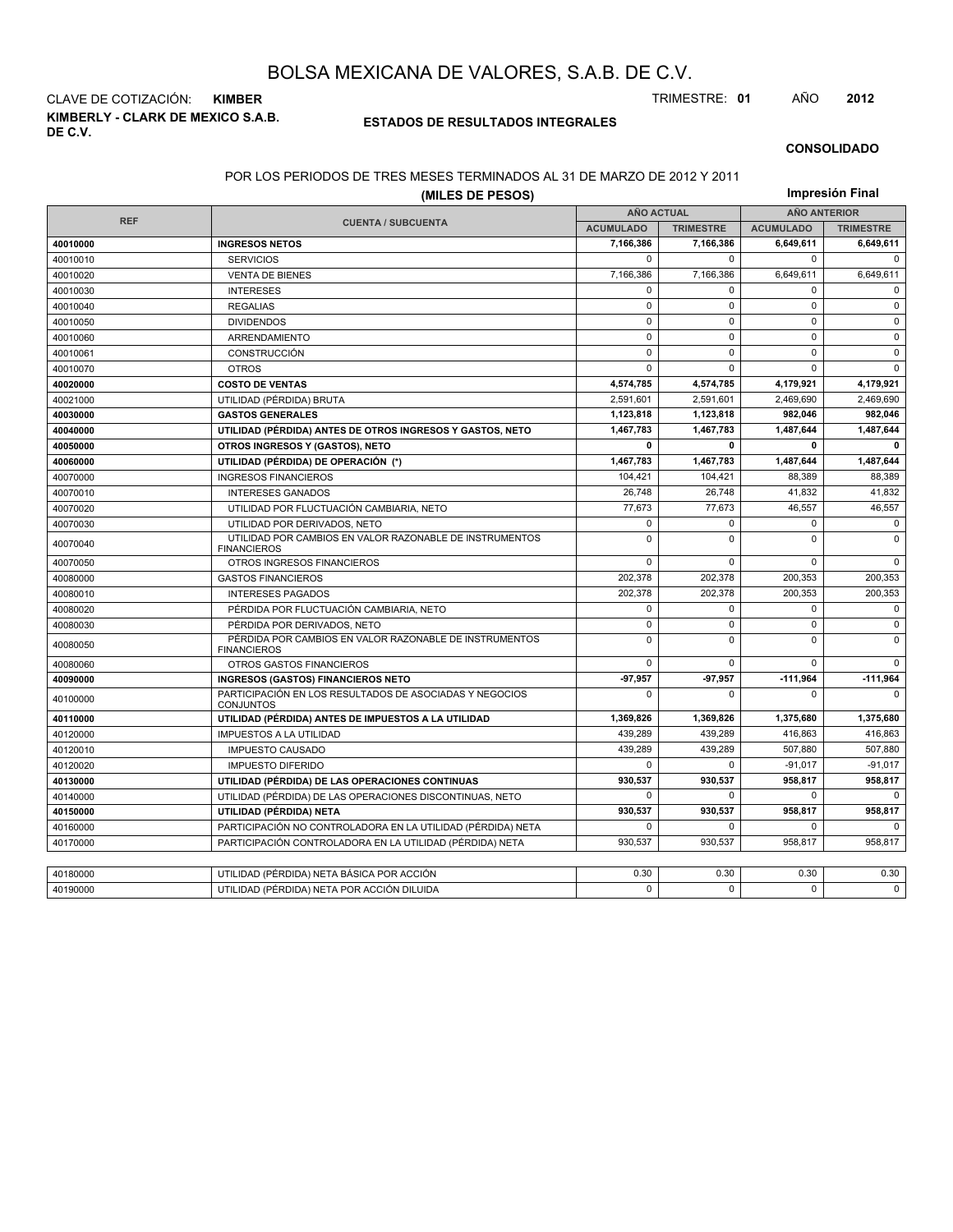**KIMBERLY - CLARK DE MEXICO S.A.B. DE C.V.** CLAVE DE COTIZACIÓN: **KIMBER** TRIMESTRE: **01** AÑO **2012**

#### **ESTADOS DE RESULTADOS INTEGRALES**

#### **CONSOLIDADO**

#### POR LOS PERIODOS DE TRES MESES TERMINADOS AL 31 DE MARZO DE 2012 Y 2011

|            | (MILES DE PESOS)                                                              |                   |                  |                     | Impresión Final  |
|------------|-------------------------------------------------------------------------------|-------------------|------------------|---------------------|------------------|
|            |                                                                               | <b>AÑO ACTUAL</b> |                  | <b>AÑO ANTERIOR</b> |                  |
| <b>REF</b> | <b>CUENTA / SUBCUENTA</b>                                                     | <b>ACUMULADO</b>  | <b>TRIMESTRE</b> | <b>ACUMULADO</b>    | <b>TRIMESTRE</b> |
| 40010000   | <b>INGRESOS NETOS</b>                                                         | 7,166,386         | 7,166,386        | 6,649,611           | 6,649,611        |
| 40010010   | <b>SERVICIOS</b>                                                              | $\mathbf 0$       | $\mathbf 0$      | $\mathbf 0$         | $\mathbf 0$      |
| 40010020   | <b>VENTA DE BIENES</b>                                                        | 7,166,386         | 7,166,386        | 6,649,611           | 6,649,611        |
| 40010030   | <b>INTERESES</b>                                                              | $\mathbf 0$       | $\Omega$         | $\mathbf 0$         | $\Omega$         |
| 40010040   | <b>REGALIAS</b>                                                               | $\mathbf 0$       | $\mathbf 0$      | $\mathbf 0$         | $\mathbf 0$      |
| 40010050   | <b>DIVIDENDOS</b>                                                             | $\mathbf 0$       | $\mathbf 0$      | $\mathbf 0$         | $\mathbf 0$      |
| 40010060   | ARRENDAMIENTO                                                                 | $\mathbf 0$       | $\mathbf 0$      | $\mathbf 0$         | $\mathsf 0$      |
| 40010061   | <b>CONSTRUCCIÓN</b>                                                           | $\mathbf 0$       | $\mathbf 0$      | $\mathbf 0$         | $\mathbf 0$      |
| 40010070   | <b>OTROS</b>                                                                  | $\Omega$          | $\Omega$         | $\Omega$            | $\Omega$         |
| 40020000   | <b>COSTO DE VENTAS</b>                                                        | 4,574,785         | 4,574,785        | 4,179,921           | 4,179,921        |
| 40021000   | UTILIDAD (PÉRDIDA) BRUTA                                                      | 2,591,601         | 2,591,601        | 2,469,690           | 2,469,690        |
| 40030000   | <b>GASTOS GENERALES</b>                                                       | 1,123,818         | 1,123,818        | 982,046             | 982,046          |
| 40040000   | UTILIDAD (PÉRDIDA) ANTES DE OTROS INGRESOS Y GASTOS, NETO                     | 1,467,783         | 1,467,783        | 1,487,644           | 1,487,644        |
| 40050000   | OTROS INGRESOS Y (GASTOS), NETO                                               | $\mathbf{0}$      | 0                | 0                   | 0                |
| 40060000   | UTILIDAD (PÉRDIDA) DE OPERACIÓN (*)                                           | 1,467,783         | 1,467,783        | 1,487,644           | 1,487,644        |
| 40070000   | <b>INGRESOS FINANCIEROS</b>                                                   | 104,421           | 104.421          | 88.389              | 88.389           |
| 40070010   | <b>INTERESES GANADOS</b>                                                      | 26,748            | 26,748           | 41,832              | 41,832           |
| 40070020   | UTILIDAD POR FLUCTUACIÓN CAMBIARIA, NETO                                      | 77,673            | 77,673           | 46,557              | 46,557           |
| 40070030   | UTILIDAD POR DERIVADOS, NETO                                                  | $\pmb{0}$         | $\mathbf 0$      | 0                   | 0                |
| 40070040   | UTILIDAD POR CAMBIOS EN VALOR RAZONABLE DE INSTRUMENTOS<br><b>FINANCIEROS</b> | $\mathbf 0$       | $\Omega$         | $\mathbf 0$         | $\mathbf 0$      |
| 40070050   | OTROS INGRESOS FINANCIEROS                                                    | $\mathbf 0$       | $\mathbf 0$      | $\mathbf 0$         | $\Omega$         |
| 40080000   | <b>GASTOS FINANCIEROS</b>                                                     | 202,378           | 202.378          | 200,353             | 200,353          |
| 40080010   | <b>INTERESES PAGADOS</b>                                                      | 202,378           | 202,378          | 200,353             | 200,353          |
| 40080020   | PÉRDIDA POR FLUCTUACIÓN CAMBIARIA, NETO                                       | $\mathbf 0$       | 0                | 0                   | 0                |
| 40080030   | PÉRDIDA POR DERIVADOS, NETO                                                   | $\mathbf 0$       | $\mathbf 0$      | $\mathbf 0$         | $\mathbf 0$      |
| 40080050   | PÉRDIDA POR CAMBIOS EN VALOR RAZONABLE DE INSTRUMENTOS<br><b>FINANCIEROS</b>  | $\mathsf 0$       | $\mathbf 0$      | $\mathbf 0$         | $\mathbf 0$      |
| 40080060   | <b>OTROS GASTOS FINANCIEROS</b>                                               | $\mathbf 0$       | $\Omega$         | $\mathbf 0$         | $\Omega$         |
| 40090000   | <b>INGRESOS (GASTOS) FINANCIEROS NETO</b>                                     | 97,957            | $-97,957$        | $-111,964$          | $-111,964$       |
| 40100000   | PARTICIPACIÓN EN LOS RESULTADOS DE ASOCIADAS Y NEGOCIOS<br><b>CONJUNTOS</b>   | $\mathbf 0$       | $\Omega$         | $\Omega$            | $\Omega$         |
| 40110000   | UTILIDAD (PÉRDIDA) ANTES DE IMPUESTOS A LA UTILIDAD                           | 1,369,826         | 1,369,826        | 1,375,680           | 1,375,680        |
| 40120000   | <b>IMPUESTOS A LA UTILIDAD</b>                                                | 439,289           | 439,289          | 416,863             | 416,863          |
| 40120010   | <b>IMPUESTO CAUSADO</b>                                                       | 439,289           | 439,289          | 507,880             | 507,880          |
| 40120020   | <b>IMPUESTO DIFERIDO</b>                                                      | $\Omega$          | $\Omega$         | $-91.017$           | $-91,017$        |
| 40130000   | UTILIDAD (PÉRDIDA) DE LAS OPERACIONES CONTINUAS                               | 930,537           | 930.537          | 958,817             | 958.817          |
| 40140000   | UTILIDAD (PÉRDIDA) DE LAS OPERACIONES DISCONTINUAS, NETO                      | $\mathbf 0$       | $\mathbf 0$      | $\mathbf 0$         | $\Omega$         |
| 40150000   | UTILIDAD (PÉRDIDA) NETA                                                       | 930,537           | 930,537          | 958,817             | 958,817          |
| 40160000   | PARTICIPACIÓN NO CONTROLADORA EN LA UTILIDAD (PÉRDIDA) NETA                   | $\mathbf 0$       | $\mathbf 0$      | 0                   | $\mathbf 0$      |
| 40170000   | PARTICIPACIÓN CONTROLADORA EN LA UTILIDAD (PÉRDIDA) NETA                      | 930,537           | 930,537          | 958,817             | 958,817          |
|            |                                                                               |                   |                  |                     |                  |
| 40180000   | UTILIDAD (PÉRDIDA) NETA BÁSICA POR ACCIÓN                                     | 0.30              | 0.30             | 0.30                | 0.30             |
| 40190000   | UTILIDAD (PÉRDIDA) NETA POR ACCIÓN DILUIDA                                    | $\mathbf 0$       | $\Omega$         | $\Omega$            | $\Omega$         |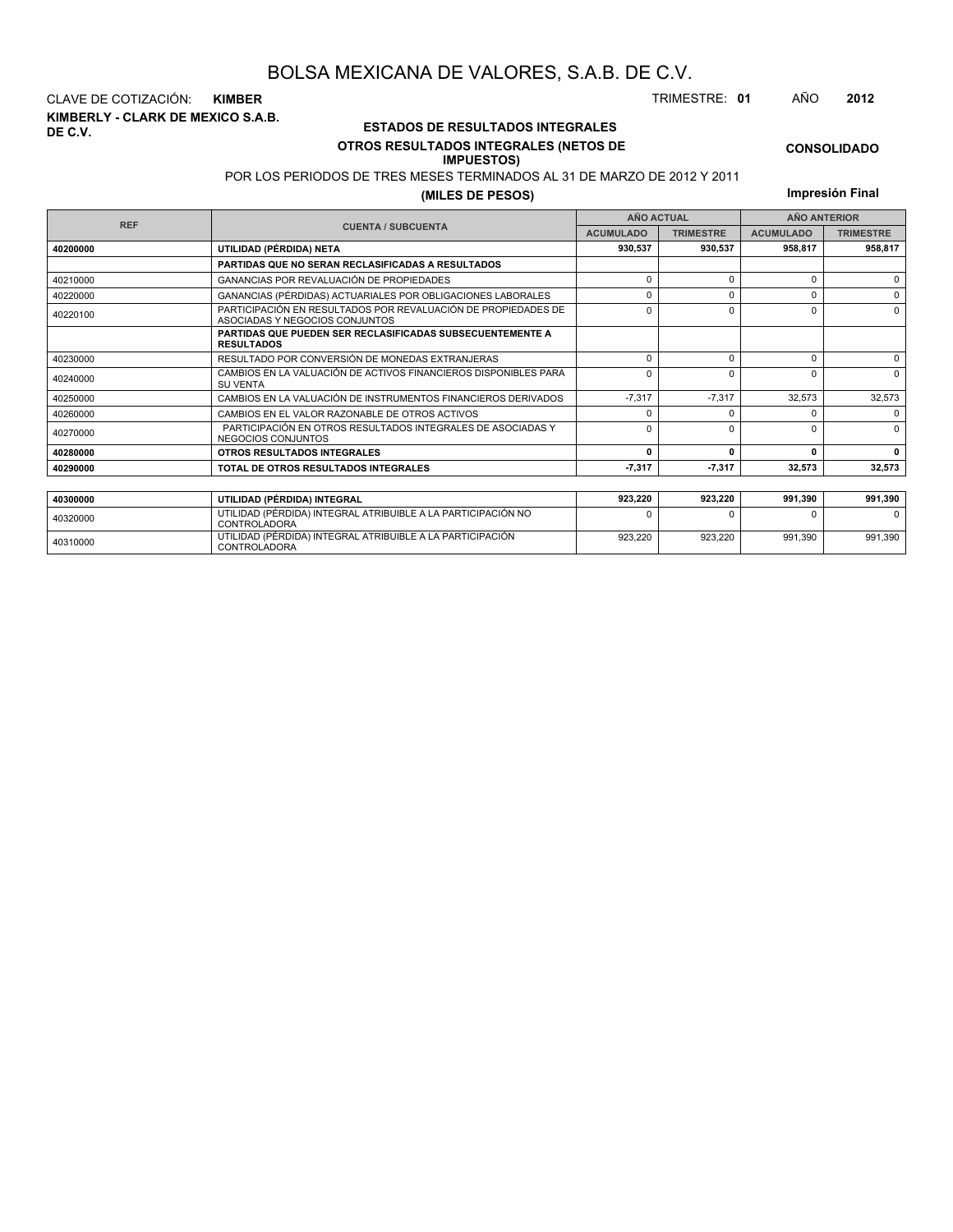**KIMBERLY - CLARK DE MEXICO S.A.B. DE C.V.** CLAVE DE COTIZACIÓN: **KIMBER** TRIMESTRE: **01** AÑO **2012**

<sup>40310000</sup> UTILIDAD (PÉRDIDA) INTEGRAL ATRIBUIBLE A LA PARTICIPACIÓN CONTROLADORA

#### **ESTADOS DE RESULTADOS INTEGRALES OTROS RESULTADOS INTEGRALES (NETOS DE**

#### **IMPUESTOS)**

POR LOS PERIODOS DE TRES MESES TERMINADOS AL 31 DE MARZO DE 2012 Y 2011

#### **(MILES DE PESOS)**

**Impresión Final**

923,220 923,220 991,390 991,390

|            |                                                                                                 |                                                                                                                                                                                                                                                                                                                                                                                                   |                  | <b>AÑO ANTERIOR</b> |          |
|------------|-------------------------------------------------------------------------------------------------|---------------------------------------------------------------------------------------------------------------------------------------------------------------------------------------------------------------------------------------------------------------------------------------------------------------------------------------------------------------------------------------------------|------------------|---------------------|----------|
| <b>REF</b> | <b>CUENTA / SUBCUENTA</b>                                                                       | <b>AÑO ACTUAL</b><br><b>TRIMESTRE</b><br><b>ACUMULADO</b><br><b>ACUMULADO</b><br>930,537<br>930,537<br>958,817<br>$\Omega$<br>$\Omega$<br>$\Omega$<br>0<br>0<br>0<br>$\Omega$<br>0<br>$\Omega$<br>$\Omega$<br>$\Omega$<br>$\Omega$<br>$\Omega$<br>$\Omega$<br>$\Omega$<br>$-7,317$<br>$-7.317$<br>32,573<br><sup>0</sup><br>U<br>$\Omega$<br>$\Omega$<br>0<br>0<br>$-7,317$<br>$-7,317$<br>32,573 | <b>TRIMESTRE</b> |                     |          |
| 40200000   | UTILIDAD (PÉRDIDA) NETA                                                                         |                                                                                                                                                                                                                                                                                                                                                                                                   |                  |                     | 958,817  |
|            | PARTIDAS QUE NO SERAN RECLASIFICADAS A RESULTADOS                                               |                                                                                                                                                                                                                                                                                                                                                                                                   |                  |                     |          |
| 40210000   | GANANCIAS POR REVALUACIÓN DE PROPIEDADES                                                        |                                                                                                                                                                                                                                                                                                                                                                                                   |                  |                     |          |
| 40220000   | GANANCIAS (PÉRDIDAS) ACTUARIALES POR OBLIGACIONES LABORALES                                     |                                                                                                                                                                                                                                                                                                                                                                                                   |                  |                     | $\Omega$ |
| 40220100   | PARTICIPACIÓN EN RESULTADOS POR REVALUACIÓN DE PROPIEDADES DE<br>ASOCIADAS Y NEGOCIOS CONJUNTOS |                                                                                                                                                                                                                                                                                                                                                                                                   |                  |                     |          |
|            | <b>PARTIDAS QUE PUEDEN SER RECLASIFICADAS SUBSECUENTEMENTE A</b><br><b>RESULTADOS</b>           |                                                                                                                                                                                                                                                                                                                                                                                                   |                  |                     |          |
| 40230000   | RESULTADO POR CONVERSIÓN DE MONEDAS EXTRANJERAS                                                 |                                                                                                                                                                                                                                                                                                                                                                                                   |                  |                     | $\Omega$ |
| 40240000   | CAMBIOS EN LA VALUACIÓN DE ACTIVOS FINANCIEROS DISPONIBLES PARA<br><b>SU VENTA</b>              |                                                                                                                                                                                                                                                                                                                                                                                                   |                  |                     |          |
| 40250000   | CAMBIOS EN LA VALUACIÓN DE INSTRUMENTOS FINANCIEROS DERIVADOS                                   |                                                                                                                                                                                                                                                                                                                                                                                                   |                  |                     | 32,573   |
| 40260000   | CAMBIOS EN EL VALOR RAZONABLE DE OTROS ACTIVOS                                                  |                                                                                                                                                                                                                                                                                                                                                                                                   |                  |                     |          |
| 40270000   | PARTICIPACIÓN EN OTROS RESULTADOS INTEGRALES DE ASOCIADAS Y<br>NEGOCIOS CONJUNTOS               |                                                                                                                                                                                                                                                                                                                                                                                                   |                  |                     | $\Omega$ |
| 40280000   | OTROS RESULTADOS INTEGRALES                                                                     |                                                                                                                                                                                                                                                                                                                                                                                                   |                  |                     | 0        |
| 40290000   | TOTAL DE OTROS RESULTADOS INTEGRALES                                                            |                                                                                                                                                                                                                                                                                                                                                                                                   |                  |                     | 32,573   |
|            |                                                                                                 |                                                                                                                                                                                                                                                                                                                                                                                                   |                  |                     |          |
| 40300000   | UTILIDAD (PÉRDIDA) INTEGRAL                                                                     | 923.220                                                                                                                                                                                                                                                                                                                                                                                           | 923,220          | 991,390             | 991,390  |
| 40320000   | UTILIDAD (PÉRDIDA) INTEGRAL ATRIBUIBLE A LA PARTICIPACIÓN NO<br><b>CONTROLADORA</b>             |                                                                                                                                                                                                                                                                                                                                                                                                   |                  | n                   |          |

**CONSOLIDADO**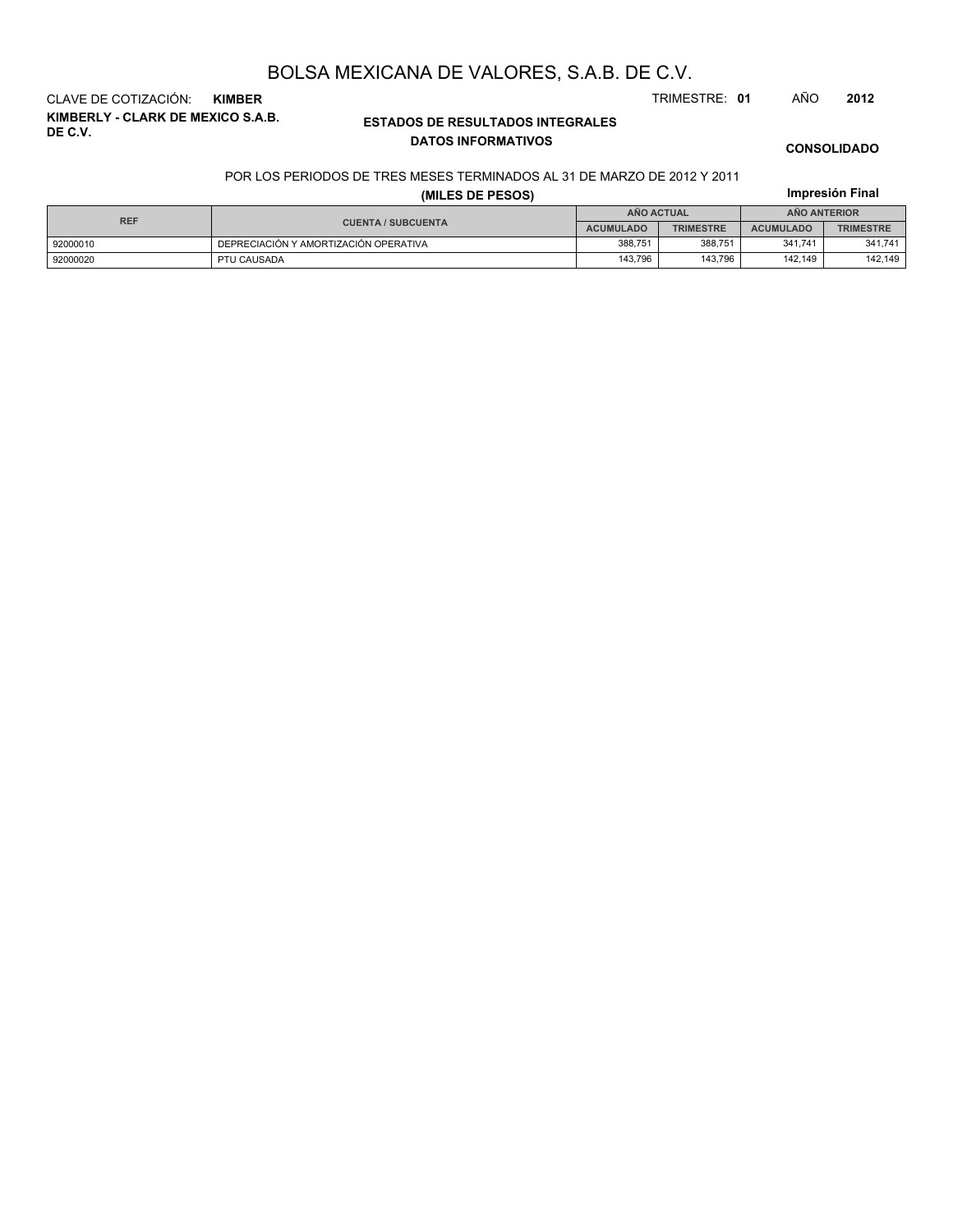**KIMBERLY - CLARK DE MEXICO S.A.B. DE C.V.** CLAVE DE COTIZACIÓN: **KIMBER** TRIMESTRE: **01** AÑO **2012**

#### **ESTADOS DE RESULTADOS INTEGRALES DATOS INFORMATIVOS**

#### **CONSOLIDADO**

**Impresión Final**

#### POR LOS PERIODOS DE TRES MESES TERMINADOS AL 31 DE MARZO DE 2012 Y 2011

#### **(MILES DE PESOS)**

92000020 PTU CAUSADA 143,796 143,796 142,149 142,149

| <b>REF</b> |                                       | ANO ACTUAL       |                  | AÑO ANTERIOR     |                  |  |
|------------|---------------------------------------|------------------|------------------|------------------|------------------|--|
|            | <b>CUENTA / SUBCUENTA</b>             | <b>ACUMULADO</b> | <b>TRIMESTRE</b> | <b>ACUMULADO</b> | <b>TRIMESTRE</b> |  |
| 92000010   | DEPRECIACIÓN Y AMORTIZACIÓN OPERATIVA | 388,751          | 388.751          | 341.741          | 341,741          |  |
|            |                                       |                  |                  |                  |                  |  |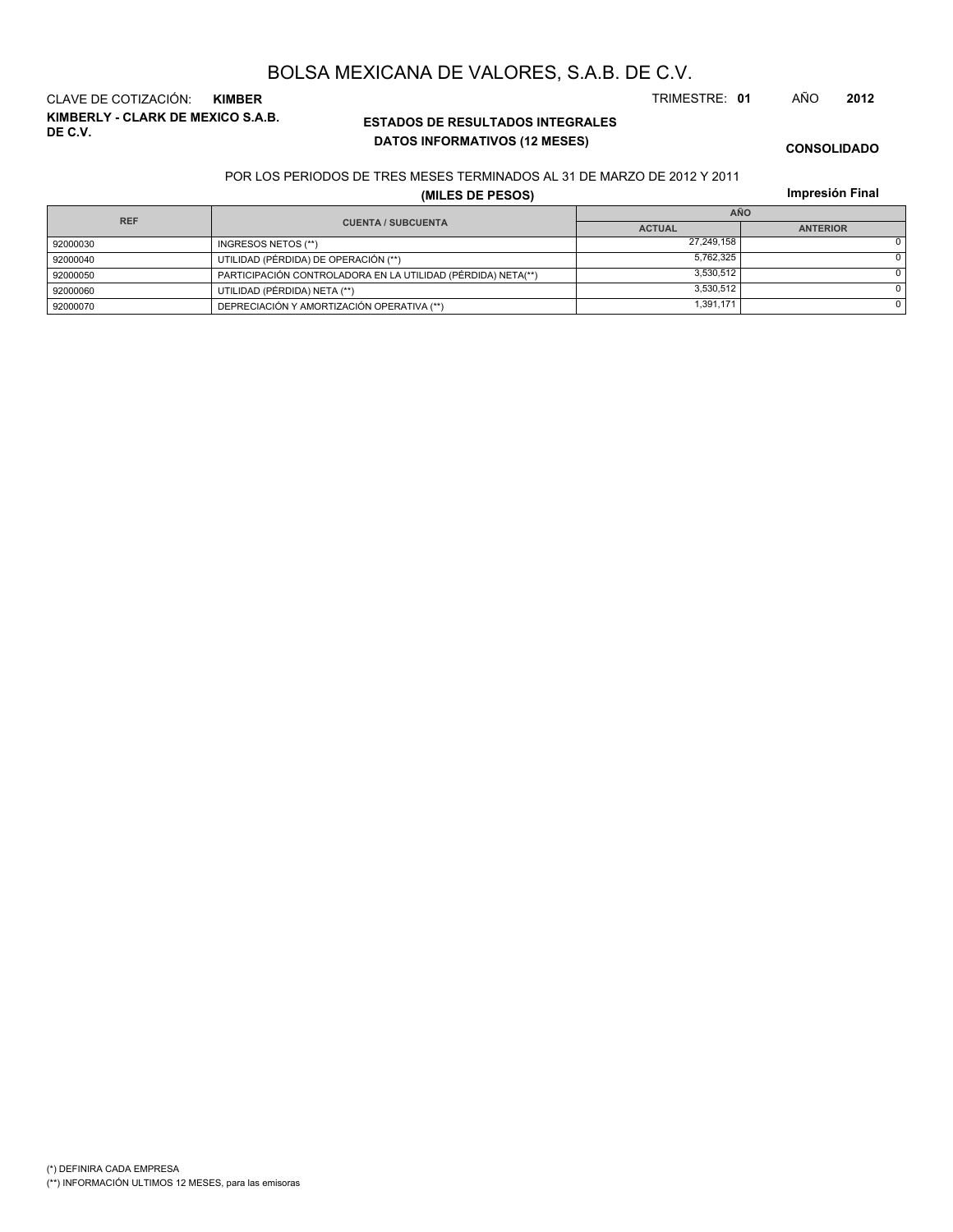(\*) DEFINIRA CADA EMPRESA (\*\*) INFORMACIÓN ULTIMOS 12 MESES, para las emisoras

## BOLSA MEXICANA DE VALORES, S.A.B. DE C.V.

**KIMBERLY - CLARK DE MEXICO S.A.B. DE C.V.** CLAVE DE COTIZACIÓN: **KIMBER** TRIMESTRE: **01** AÑO **2012**

### **ESTADOS DE RESULTADOS INTEGRALES DATOS INFORMATIVOS (12 MESES)**

**CONSOLIDADO**

#### POR LOS PERIODOS DE TRES MESES TERMINADOS AL 31 DE MARZO DE 2012 Y 2011

**(MILES DE PESOS)**

|  | Impresión Final |  |
|--|-----------------|--|
|  |                 |  |

| <b>REF</b> |                                                              | AÑO           |                 |  |  |
|------------|--------------------------------------------------------------|---------------|-----------------|--|--|
|            | <b>CUENTA / SUBCUENTA</b>                                    | <b>ACTUAL</b> | <b>ANTERIOR</b> |  |  |
| 92000030   | INGRESOS NETOS (**)                                          | 27.249.158    |                 |  |  |
| 92000040   | UTILIDAD (PÉRDIDA) DE OPERACIÓN (**)                         | 5.762.325     |                 |  |  |
| 92000050   | PARTICIPACIÓN CONTROLADORA EN LA UTILIDAD (PÉRDIDA) NETA(**) | 3.530.512     |                 |  |  |
| 92000060   | UTILIDAD (PÉRDIDA) NETA (**)                                 | 3.530.512     |                 |  |  |
| 92000070   | DEPRECIACIÓN Y AMORTIZACIÓN OPERATIVA (**)                   | 1,391,171     |                 |  |  |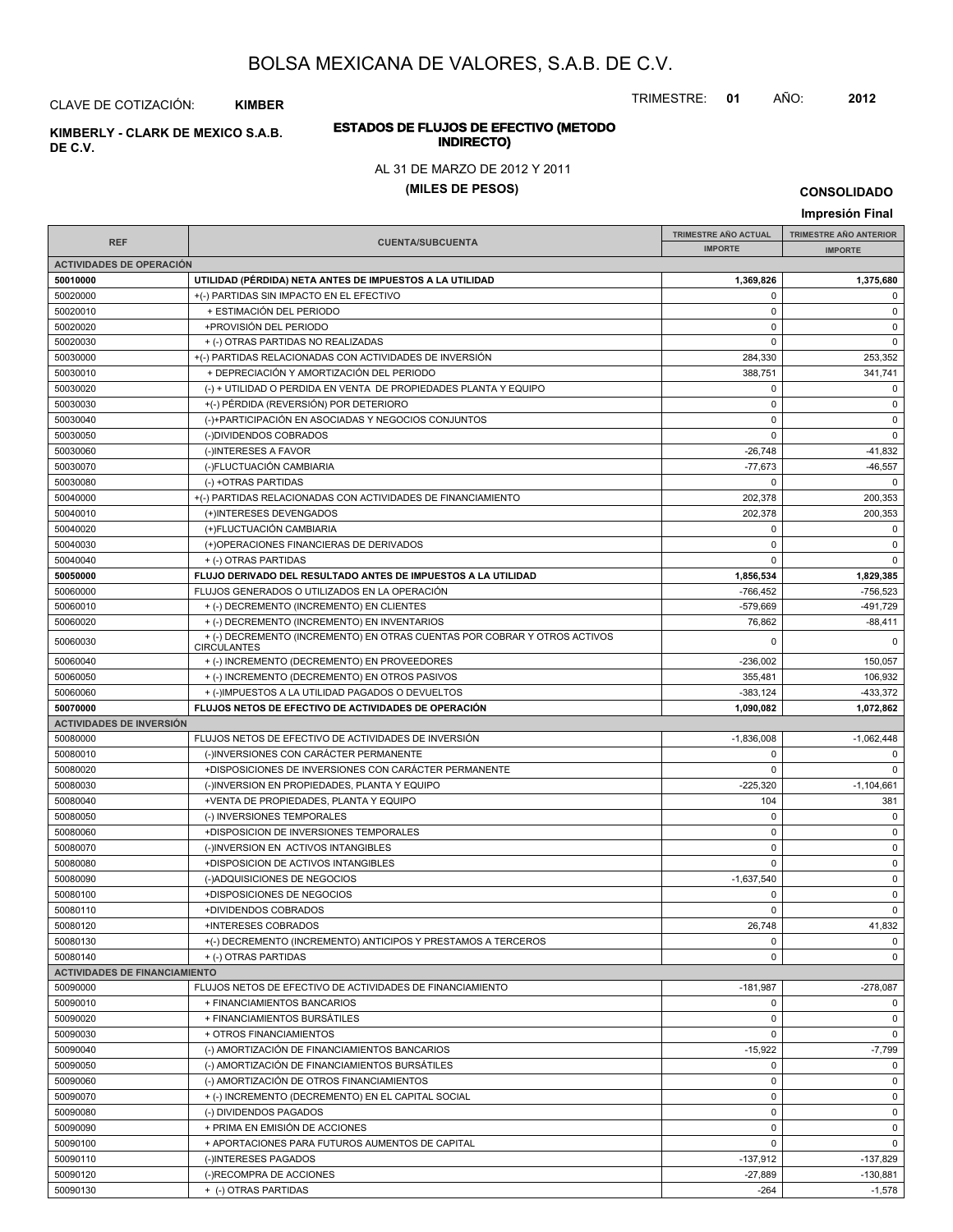TRIMESTRE: **01** AÑO: **2012**

#### CLAVE DE COTIZACIÓN: **KIMBER**

**INDIRECTO) KIMBERLY - CLARK DE MEXICO S.A.B. DE C.V.**

# **ESTADOS DE FLUJOS DE EFECTIVO (METODO**

#### AL 31 DE MARZO DE 2012 Y 2011

#### **(MILES DE PESOS)**

**CONSOLIDADO**

#### **IMPRESIÓN FINAL AND SUBCUENTA**<br> **IMPORTE TRIMESTRE AÑO ACTUAL IMPORTE IMPORTE REF TRIMESTRE AÑO ANTERIOR IMPORTE ACTIVIDADES DE OPERACIÓN 50010000 UTILIDAD (PÉRDIDA) NETA ANTES DE IMPUESTOS A LA UTILIDAD 1,369,826 1,375,680** 50020000 +(-) PARTIDAS SIN IMPACTO EN EL EFECTIVO 0 0 50020010 + ESTIMACIÓN DEL PERIODO 0 0 50020020 +PROVISIÓN DEL PERIODO 0 0 50020030 + (-) OTRAS PARTIDAS NO REALIZADAS 0 0 50030000 +(-) PARTIDAS RELACIONADAS CON ACTIVIDADES DE INVERSIÓN 284,330 253,352 50030010 + DEPRECIACIÓN Y AMORTIZACIÓN DEL PERIODO 388,751 341,741 50030020 (-) + UTILIDAD O PERDIDA EN VENTA DE PROPIEDADES PLANTA Y EQUIPO 0 0 50030030 +(-) PÉRDIDA (REVERSIÓN) POR DETERIORO 0 0 50030040 (-)+PARTICIPACIÓN EN ASOCIADAS Y NEGOCIOS CONJUNTOS 0 0 50030050 (-)DIVIDENDOS COBRADOS 0 0 50030060 (-)INTERESES A FAVOR -26,748 -41,832 50030070 (-)FLUCTUACIÓN CAMBIARIA -77,673 -46,557 50030080 (-) +OTRAS PARTIDAS 0 0 50040000 +(-) PARTIDAS RELACIONADAS CON ACTIVIDADES DE FINANCIAMIENTO 202,378 200,353 50040010 (+)INTERESES DEVENGADOS 202,378 200,353 50040020 (+)FLUCTUACIÓN CAMBIARIA 0 0 50040030 (+)OPERACIONES FINANCIERAS DE DERIVADOS 0 0 50040040 + (-) OTRAS PARTIDAS 0 0 **50050000 FLUJO DERIVADO DEL RESULTADO ANTES DE IMPUESTOS A LA UTILIDAD 1,856,534 1,829,385** 50060000 FLUJOS GENERADOS O UTILIZADOS EN LA OPERACIÓN -766,452 -756,523 50060010 + (-) DECREMENTO (INCREMENTO) EN CLIENTES -579,669 -491,729 50060020 + (-) DECREMENTO (INCREMENTO) EN INVENTARIOS 76.862 76.862 -88.411 50060030 0 0 + (-) DECREMENTO (INCREMENTO) EN OTRAS CUENTAS POR COBRAR Y OTROS ACTIVOS **CIRCULANTES** 50060040 + (-) INCREMENTO (DECREMENTO) EN PROVEEDORES -236,002 150,057 50060050 + (-) INCREMENTO (DECREMENTO) EN OTROS PASIVOS + (2005) 255,481 (355,481 106,932  $+(.)\text{IMPUESTOS A LA UTILIDAD PAGADOS O DEVUELTOS}\tag{383,124} \tag{333,372}$ **50070000 FLUJOS NETOS DE EFECTIVO DE ACTIVIDADES DE OPERACIÓN 1,090,082 1,072,862 ACTIVIDADES DE INVERSIÓN** 50080000 FLUJOS NETOS DE EFECTIVO DE ACTIVIDADES DE INVERSIÓN -1,836,008 -1,062,448 50080010 (-)INVERSIONES CON CARÁCTER PERMANENTE 0 0 50080020 +DISPOSICIONES DE INVERSIONES CON CARÁCTER PERMANENTE 0 0 50080030 (-)INVERSION EN PROPIEDADES, PLANTA Y EQUIPO -225,320 -225,320 -1,104,661 50080040 +VENTA DE PROPIEDADES, PLANTA Y EQUIPO 104 381 50080050 (-) INVERSIONES TEMPORALES 0 0 50080060 +DISPOSICION DE INVERSIONES TEMPORALES 0 0 50080070 (-)INVERSION EN ACTIVOS INTANGIBLES 0 0 50080080 +DISPOSICION DE ACTIVOS INTANGIBLES 0 0 50080090 (-)ADQUISICIONES DE NEGOCIOS -1,637,540 0 50080100 +DISPOSICIONES DE NEGOCIOS 0 0 50080110 +DIVIDENDOS COBRADOS 0 0 50080120 +INTERESES COBRADOS 26,748 41,832 50080130 +(-) DECREMENTO (INCREMENTO) ANTICIPOS Y PRESTAMOS A TERCEROS 0 0 50080140 + (-) OTRAS PARTIDAS 0 0 **ACTIVIDADES DE FINANCIAMIENTO** 50090000 FLUJOS NETOS DE EFECTIVO DE ACTIVIDADES DE FINANCIAMIENTO -181,987 -278,087 50090010 + FINANCIAMIENTOS BANCARIOS 0 0 50090020 + FINANCIAMIENTOS BURSÁTILES 0 0 50090030 + OTROS FINANCIAMIENTOS 0 0 50090040 (-) AMORTIZACIÓN DE FINANCIAMIENTOS BANCARIOS -15,922 -15,922 -15,922 -15,922 -15,922 -15,922 -15,922 50090050 (-) AMORTIZACIÓN DE FINANCIAMIENTOS BURSÁTILES 0 0 50090060 (-) AMORTIZACIÓN DE OTROS FINANCIAMIENTOS 0 0 50090070 + (-) INCREMENTO (DECREMENTO) EN EL CAPITAL SOCIAL 0 0 50090080 (-) DIVIDENDOS PAGADOS 0 0 50090090 + PRIMA EN EMISIÓN DE ACCIONES de la componentación de la componentación de la componentación de la c 50090100 + APORTACIONES PARA FUTUROS AUMENTOS DE CAPITAL 0 0 50090110 | (-)INTERESES PAGADOS -137,912 | -137,829 50090120 (-)RECOMPRA DE ACCIONES -27,889 -130,881 50090130 + (-) OTRAS PARTIDAS -264 -1,578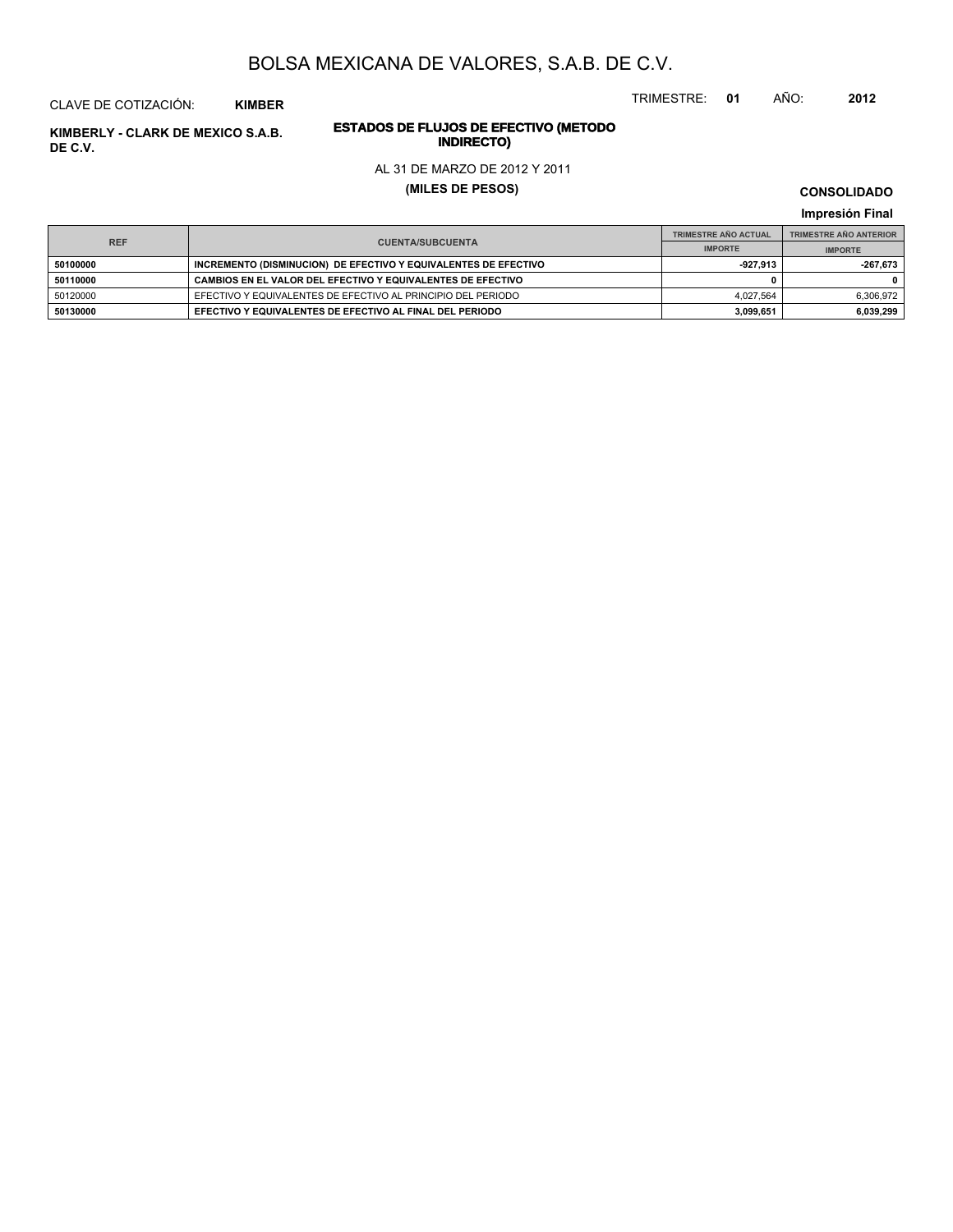TRIMESTRE: **01** AÑO: **2012**

### CLAVE DE COTIZACIÓN: **KIMBER**

## **INDIRECTO) KIMBERLY - CLARK DE MEXICO S.A.B. DE C.V.**

# **ESTADOS DE FLUJOS DE EFECTIVO (METODO**

#### AL 31 DE MARZO DE 2012 Y 2011

#### **(MILES DE PESOS)**

**CONSOLIDADO**

|                                       | <b>TRIMESTRE AÑO ACTUAL</b>                                     | <b>TRIMESTRE AÑO ANTERIOR</b> |                |
|---------------------------------------|-----------------------------------------------------------------|-------------------------------|----------------|
| <b>REF</b><br><b>CUENTA/SUBCUENTA</b> |                                                                 | <b>IMPORTE</b>                | <b>IMPORTE</b> |
| 50100000                              | INCREMENTO (DISMINUCION) DE EFECTIVO Y EQUIVALENTES DE EFECTIVO | $-927.913$                    | -267.673       |
| 50110000                              | CAMBIOS EN EL VALOR DEL EFECTIVO Y EQUIVALENTES DE EFECTIVO     |                               |                |
| 50120000                              | EFECTIVO Y EQUIVALENTES DE EFECTIVO AL PRINCIPIO DEL PERIODO    | 4.027.564                     | 6,306,972      |
| 50130000                              | EFECTIVO Y EQUIVALENTES DE EFECTIVO AL FINAL DEL PERIODO        | 3.099.651                     | 6,039,299      |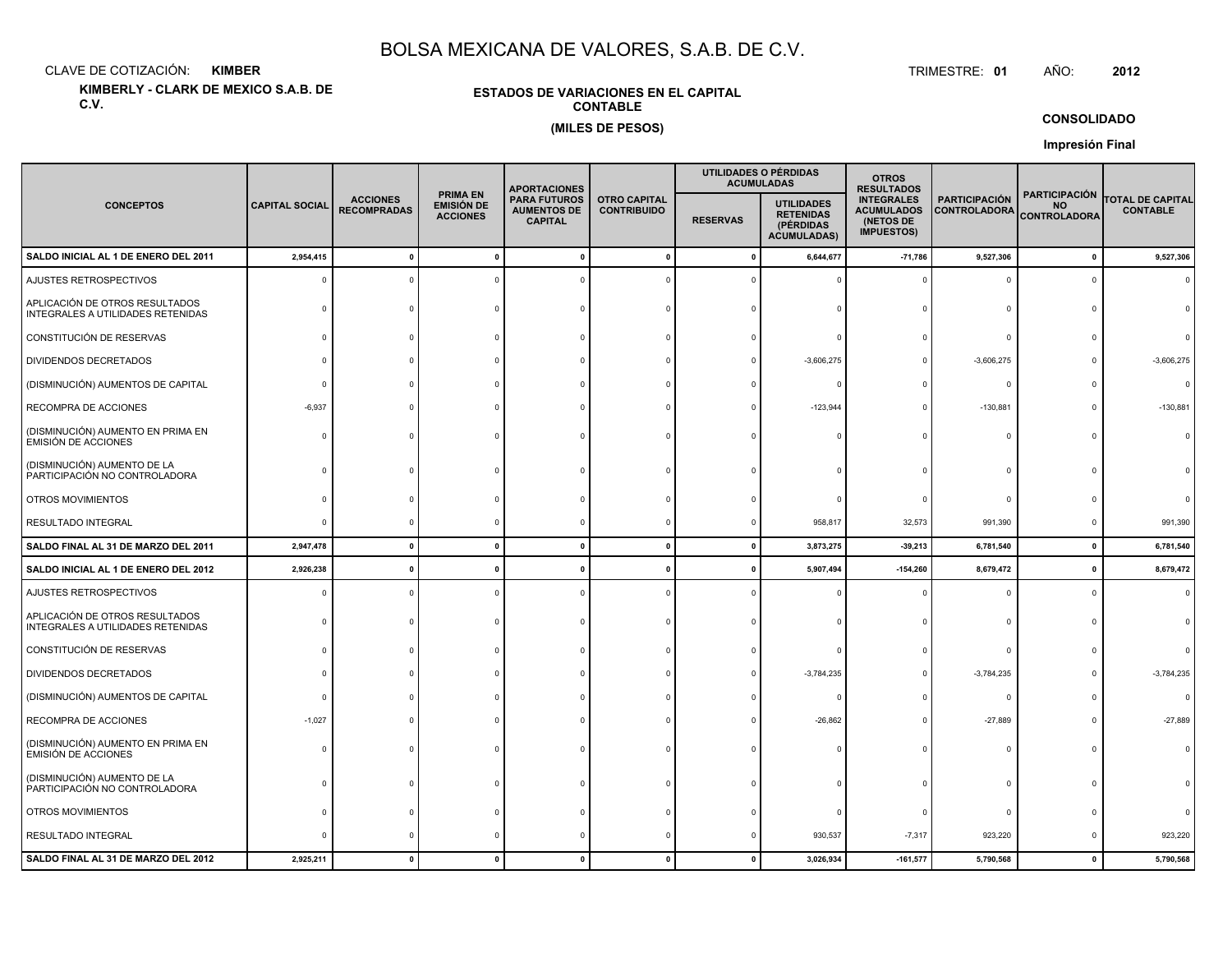CLAVE DE COTIZACIÓN:**KIMBER**: KIMBER TRIMESTRE:

**KIMBERLY - CLARK DE MEXICO S.A.B. DE C.V.**

#### **ESTADOS DE VARIACIONES EN EL CAPITALCONTABLE(MILES DE PESOS)**

TRIMESTRE: 01 AÑO: **<sup>2012</sup>**

**CONSOLIDADO**

|                                                                     |                       |                                       |                                                         | <b>APORTACIONES</b>                                         |                                           |                 | UTILIDADES O PÉRDIDAS<br><b>ACUMULADAS</b>                               | <b>OTROS</b><br><b>RESULTADOS</b>                                        |                                             |                                                          |                                            |
|---------------------------------------------------------------------|-----------------------|---------------------------------------|---------------------------------------------------------|-------------------------------------------------------------|-------------------------------------------|-----------------|--------------------------------------------------------------------------|--------------------------------------------------------------------------|---------------------------------------------|----------------------------------------------------------|--------------------------------------------|
| <b>CONCEPTOS</b>                                                    | <b>CAPITAL SOCIAL</b> | <b>ACCIONES</b><br><b>RECOMPRADAS</b> | <b>PRIMA EN</b><br><b>EMISIÓN DE</b><br><b>ACCIONES</b> | <b>PARA FUTUROS</b><br><b>AUMENTOS DE</b><br><b>CAPITAL</b> | <b>OTRO CAPITAL</b><br><b>CONTRIBUIDO</b> | <b>RESERVAS</b> | <b>UTILIDADES</b><br><b>RETENIDAS</b><br>(PÉRDIDAS<br><b>ACUMULADAS)</b> | <b>INTEGRALES</b><br><b>ACUMULADOS</b><br>(NETOS DE<br><b>IMPUESTOS)</b> | <b>PARTICIPACIÓN</b><br><b>CONTROLADORA</b> | <b>PARTICIPACIÓN</b><br><b>NO</b><br><b>CONTROLADORA</b> | <b>TOTAL DE CAPITAL</b><br><b>CONTABLE</b> |
| SALDO INICIAL AL 1 DE ENERO DEL 2011                                | 2,954,415             |                                       |                                                         |                                                             | $\mathbf{0}$                              | $\Omega$        | 6,644,677                                                                | $-71,786$                                                                | 9,527,306                                   | $\pmb{0}$                                                | 9,527,306                                  |
| AJUSTES RETROSPECTIVOS                                              | C                     |                                       |                                                         |                                                             |                                           |                 |                                                                          | $\Omega$                                                                 | 0                                           | $\Omega$                                                 |                                            |
| APLICACIÓN DE OTROS RESULTADOS<br>INTEGRALES A UTILIDADES RETENIDAS |                       |                                       |                                                         |                                                             |                                           |                 |                                                                          |                                                                          | $\Omega$                                    |                                                          |                                            |
| CONSTITUCIÓN DE RESERVAS                                            |                       |                                       |                                                         |                                                             |                                           |                 |                                                                          |                                                                          | $\Omega$                                    |                                                          |                                            |
| DIVIDENDOS DECRETADOS                                               |                       |                                       |                                                         |                                                             |                                           |                 | $-3,606,275$                                                             |                                                                          | $-3,606,275$                                |                                                          | $-3,606,275$                               |
| (DISMINUCIÓN) AUMENTOS DE CAPITAL                                   |                       |                                       |                                                         |                                                             |                                           |                 |                                                                          |                                                                          | $\circ$                                     |                                                          | $\Omega$                                   |
| RECOMPRA DE ACCIONES                                                | $-6,937$              |                                       |                                                         |                                                             |                                           |                 | $-123,944$                                                               |                                                                          | $-130,881$                                  | $\Omega$                                                 | $-130,881$                                 |
| (DISMINUCIÓN) AUMENTO EN PRIMA EN<br><b>EMISIÓN DE ACCIONES</b>     |                       |                                       |                                                         |                                                             |                                           |                 |                                                                          |                                                                          | $\Omega$                                    |                                                          |                                            |
| (DISMINUCIÓN) AUMENTO DE LA<br>PARTICIPACIÓN NO CONTROLADORA        |                       |                                       |                                                         |                                                             |                                           |                 |                                                                          |                                                                          | n                                           |                                                          |                                            |
| OTROS MOVIMIENTOS                                                   |                       |                                       |                                                         |                                                             |                                           |                 |                                                                          |                                                                          | $\Omega$                                    |                                                          |                                            |
| <b>RESULTADO INTEGRAL</b>                                           | ſ                     |                                       |                                                         |                                                             |                                           |                 | 958,817                                                                  | 32,573                                                                   | 991,390                                     | 0                                                        | 991,390                                    |
| SALDO FINAL AL 31 DE MARZO DEL 2011                                 | 2,947,478             | $\mathbf{r}$                          | $\mathbf{r}$                                            |                                                             | $\mathbf{0}$                              | $\mathbf{0}$    | 3,873,275                                                                | $-39,213$                                                                | 6,781,540                                   | $\mathbf 0$                                              | 6,781,540                                  |
| SALDO INICIAL AL 1 DE ENERO DEL 2012                                | 2,926,238             |                                       |                                                         |                                                             | -0                                        |                 | 5,907,494                                                                | $-154,260$                                                               | 8,679,472                                   | $\mathbf 0$                                              | 8,679,472                                  |
| AJUSTES RETROSPECTIVOS                                              |                       |                                       |                                                         |                                                             |                                           |                 |                                                                          |                                                                          | $\Omega$                                    | $\Omega$                                                 | $\Omega$                                   |
| APLICACIÓN DE OTROS RESULTADOS<br>INTEGRALES A UTILIDADES RETENIDAS |                       |                                       |                                                         |                                                             |                                           |                 |                                                                          |                                                                          | $\Omega$                                    | n                                                        |                                            |
| CONSTITUCIÓN DE RESERVAS                                            |                       |                                       |                                                         |                                                             |                                           |                 |                                                                          |                                                                          | $\Omega$                                    |                                                          |                                            |
| DIVIDENDOS DECRETADOS                                               |                       |                                       |                                                         |                                                             |                                           |                 | $-3,784,235$                                                             |                                                                          | $-3,784,235$                                |                                                          | $-3,784,235$                               |
| (DISMINUCIÓN) AUMENTOS DE CAPITAL                                   |                       |                                       |                                                         |                                                             |                                           |                 |                                                                          |                                                                          | $\mathbf 0$                                 |                                                          |                                            |
| RECOMPRA DE ACCIONES                                                | $-1,027$              |                                       |                                                         |                                                             |                                           |                 | $-26,862$                                                                |                                                                          | $-27,889$                                   |                                                          | $-27,889$                                  |
| (DISMINUCIÓN) AUMENTO EN PRIMA EN<br><b>EMISIÓN DE ACCIONES</b>     |                       |                                       |                                                         |                                                             |                                           |                 |                                                                          |                                                                          | $\Omega$                                    |                                                          |                                            |
| (DISMINUCIÓN) AUMENTO DE LA<br>PARTICIPACIÓN NO CONTROLADORA        |                       |                                       |                                                         |                                                             |                                           |                 |                                                                          |                                                                          | 0                                           |                                                          |                                            |
| OTROS MOVIMIENTOS                                                   |                       |                                       |                                                         |                                                             |                                           |                 |                                                                          |                                                                          | $\circ$                                     |                                                          |                                            |
| <b>RESULTADO INTEGRAL</b>                                           |                       |                                       |                                                         |                                                             |                                           |                 | 930,537                                                                  | $-7,317$                                                                 | 923,220                                     | $\Omega$                                                 | 923,220                                    |
| SALDO FINAL AL 31 DE MARZO DEL 2012                                 | 2,925,211             |                                       |                                                         |                                                             | $\mathbf{0}$                              |                 | 3,026,934                                                                | $-161,577$                                                               | 5,790,568                                   | $\mathbf{0}$                                             | 5,790,568                                  |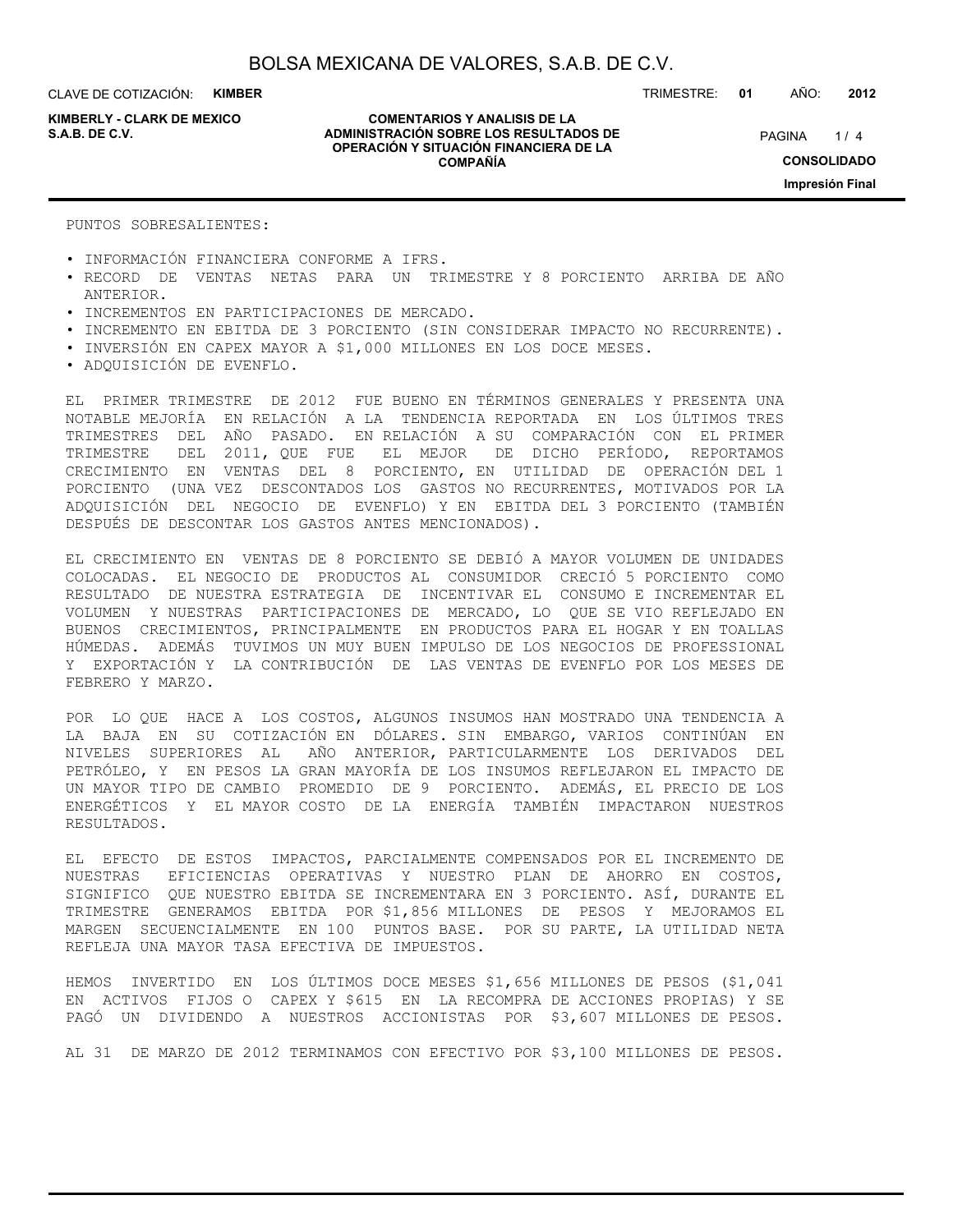CLAVE DE COTIZACIÓN: **KIMBER**

**KIMBERLY - CLARK DE MEXICO**

**COMENTARIOS Y ANALISIS DE LA ADMINISTRACIÓN SOBRE LOS RESULTADOS DE S.A.B. DE C.V.** PAGINA / 4 **OPERACIÓN Y SITUACIÓN FINANCIERA DE LA COMPAÑÍA**

 $1/4$ **CONSOLIDADO Impresión Final**

PUNTOS SOBRESALIENTES:

- INFORMACIÓN FINANCIERA CONFORME A IFRS.
- RECORD DE VENTAS NETAS PARA UN TRIMESTRE Y 8 PORCIENTO ARRIBA DE AÑO ANTERIOR.
- INCREMENTOS EN PARTICIPACIONES DE MERCADO.
- INCREMENTO EN EBITDA DE 3 PORCIENTO (SIN CONSIDERAR IMPACTO NO RECURRENTE).
- INVERSIÓN EN CAPEX MAYOR A \$1,000 MILLONES EN LOS DOCE MESES.
- ADQUISICIÓN DE EVENFLO.

EL PRIMER TRIMESTRE DE 2012 FUE BUENO EN TÉRMINOS GENERALES Y PRESENTA UNA NOTABLE MEJORÍA EN RELACIÓN A LA TENDENCIA REPORTADA EN LOS ÚLTIMOS TRES TRIMESTRES DEL AÑO PASADO. EN RELACIÓN A SU COMPARACIÓN CON EL PRIMER TRIMESTRE DEL 2011, QUE FUE EL MEJOR DE DICHO PERÍODO, REPORTAMOS CRECIMIENTO EN VENTAS DEL 8 PORCIENTO, EN UTILIDAD DE OPERACIÓN DEL 1 PORCIENTO (UNA VEZ DESCONTADOS LOS GASTOS NO RECURRENTES, MOTIVADOS POR LA ADQUISICIÓN DEL NEGOCIO DE EVENFLO) Y EN EBITDA DEL 3 PORCIENTO (TAMBIÉN DESPUÉS DE DESCONTAR LOS GASTOS ANTES MENCIONADOS).

EL CRECIMIENTO EN VENTAS DE 8 PORCIENTO SE DEBIÓ A MAYOR VOLUMEN DE UNIDADES COLOCADAS. EL NEGOCIO DE PRODUCTOS AL CONSUMIDOR CRECIÓ 5 PORCIENTO COMO RESULTADO DE NUESTRA ESTRATEGIA DE INCENTIVAR EL CONSUMO E INCREMENTAR EL VOLUMEN Y NUESTRAS PARTICIPACIONES DE MERCADO, LO QUE SE VIO REFLEJADO EN BUENOS CRECIMIENTOS, PRINCIPALMENTE EN PRODUCTOS PARA EL HOGAR Y EN TOALLAS HÚMEDAS. ADEMÁS TUVIMOS UN MUY BUEN IMPULSO DE LOS NEGOCIOS DE PROFESSIONAL Y EXPORTACIÓN Y LA CONTRIBUCIÓN DE LAS VENTAS DE EVENFLO POR LOS MESES DE FEBRERO Y MARZO.

POR LO QUE HACE A LOS COSTOS, ALGUNOS INSUMOS HAN MOSTRADO UNA TENDENCIA A LA BAJA EN SU COTIZACIÓN EN DÓLARES. SIN EMBARGO, VARIOS CONTINÚAN EN NIVELES SUPERIORES AL AÑO ANTERIOR, PARTICULARMENTE LOS DERIVADOS DEL PETRÓLEO, Y EN PESOS LA GRAN MAYORÍA DE LOS INSUMOS REFLEJARON EL IMPACTO DE UN MAYOR TIPO DE CAMBIO PROMEDIO DE 9 PORCIENTO. ADEMÁS, EL PRECIO DE LOS ENERGÉTICOS Y EL MAYOR COSTO DE LA ENERGÍA TAMBIÉN IMPACTARON NUESTROS RESULTADOS.

EL EFECTO DE ESTOS IMPACTOS, PARCIALMENTE COMPENSADOS POR EL INCREMENTO DE NUESTRAS EFICIENCIAS OPERATIVAS Y NUESTRO PLAN DE AHORRO EN COSTOS, SIGNIFICO QUE NUESTRO EBITDA SE INCREMENTARA EN 3 PORCIENTO. ASÍ, DURANTE EL TRIMESTRE GENERAMOS EBITDA POR \$1,856 MILLONES DE PESOS Y MEJORAMOS EL MARGEN SECUENCIALMENTE EN 100 PUNTOS BASE. POR SU PARTE, LA UTILIDAD NETA REFLEJA UNA MAYOR TASA EFECTIVA DE IMPUESTOS.

HEMOS INVERTIDO EN LOS ÚLTIMOS DOCE MESES \$1,656 MILLONES DE PESOS (\$1,041 EN ACTIVOS FIJOS O CAPEX Y \$615 EN LA RECOMPRA DE ACCIONES PROPIAS) Y SE PAGÓ UN DIVIDENDO A NUESTROS ACCIONISTAS POR \$3,607 MILLONES DE PESOS.

AL 31 DE MARZO DE 2012 TERMINAMOS CON EFECTIVO POR \$3,100 MILLONES DE PESOS.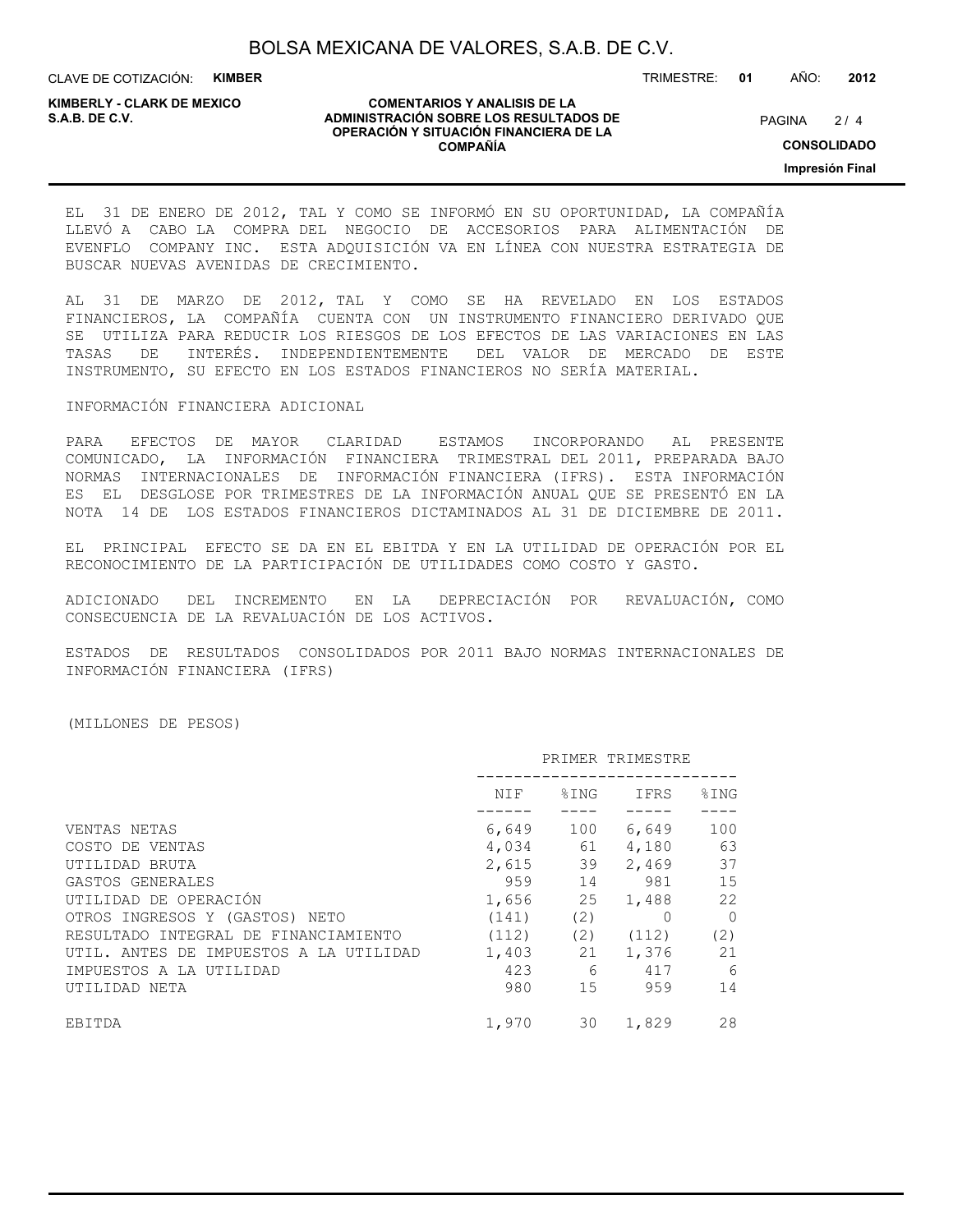CLAVE DE COTIZACIÓN: **KIMBER**

**KIMBERLY - CLARK DE MEXICO**

#### **COMENTARIOS Y ANALISIS DE LA ADMINISTRACIÓN SOBRE LOS RESULTADOS DE PAGINA 2/4 OPERACIÓN Y SITUACIÓN FINANCIERA DE LA COMPAÑÍA**

 $2/4$ **CONSOLIDADO**

**Impresión Final**

#### EL 31 DE ENERO DE 2012, TAL Y COMO SE INFORMÓ EN SU OPORTUNIDAD, LA COMPAÑÍA LLEVÓ A CABO LA COMPRA DEL NEGOCIO DE ACCESORIOS PARA ALIMENTACIÓN DE EVENFLO COMPANY INC. ESTA ADQUISICIÓN VA EN LÍNEA CON NUESTRA ESTRATEGIA DE BUSCAR NUEVAS AVENIDAS DE CRECIMIENTO.

AL 31 DE MARZO DE 2012, TAL Y COMO SE HA REVELADO EN LOS ESTADOS FINANCIEROS, LA COMPAÑÍA CUENTA CON UN INSTRUMENTO FINANCIERO DERIVADO QUE SE UTILIZA PARA REDUCIR LOS RIESGOS DE LOS EFECTOS DE LAS VARIACIONES EN LAS TASAS DE INTERÉS. INDEPENDIENTEMENTE DEL VALOR DE MERCADO DE ESTE INSTRUMENTO, SU EFECTO EN LOS ESTADOS FINANCIEROS NO SERÍA MATERIAL.

#### INFORMACIÓN FINANCIERA ADICIONAL

PARA EFECTOS DE MAYOR CLARIDAD ESTAMOS INCORPORANDO AL PRESENTE COMUNICADO, LA INFORMACIÓN FINANCIERA TRIMESTRAL DEL 2011, PREPARADA BAJO NORMAS INTERNACIONALES DE INFORMACIÓN FINANCIERA (IFRS). ESTA INFORMACIÓN ES EL DESGLOSE POR TRIMESTRES DE LA INFORMACIÓN ANUAL QUE SE PRESENTÓ EN LA NOTA 14 DE LOS ESTADOS FINANCIEROS DICTAMINADOS AL 31 DE DICIEMBRE DE 2011.

EL PRINCIPAL EFECTO SE DA EN EL EBITDA Y EN LA UTILIDAD DE OPERACIÓN POR EL RECONOCIMIENTO DE LA PARTICIPACIÓN DE UTILIDADES COMO COSTO Y GASTO.

ADICIONADO DEL INCREMENTO EN LA DEPRECIACIÓN POR REVALUACIÓN, COMO CONSECUENCIA DE LA REVALUACIÓN DE LOS ACTIVOS.

ESTADOS DE RESULTADOS CONSOLIDADOS POR 2011 BAJO NORMAS INTERNACIONALES DE INFORMACIÓN FINANCIERA (IFRS)

#### (MILLONES DE PESOS)

|                                        |       |                   | PRIMER TRIMESTRE |          |
|----------------------------------------|-------|-------------------|------------------|----------|
|                                        | NIF   | $\textdegree$ ING | IFRS             | \$ING    |
|                                        |       |                   |                  |          |
| VENTAS NETAS                           | 6,649 | 100               | 6,649            | 100      |
| COSTO DE VENTAS                        |       | 4,034 61          | 4,180            | 63       |
| UTILIDAD BRUTA                         |       | 2,615 39          | 2,469            | 37       |
| GASTOS GENERALES                       |       | 959 14            | 981 —            | 15       |
| UTILIDAD DE OPERACIÓN                  |       | 1,656 25          | 1,488            | 22       |
| OTROS INGRESOS Y (GASTOS) NETO         | (141) | (2)               | $\Omega$         | $\Omega$ |
| RESULTADO INTEGRAL DE FINANCIAMIENTO   | (112) |                   | $(2)$ $(112)$    | (2)      |
| UTIL. ANTES DE IMPUESTOS A LA UTILIDAD |       | 1,403 21          | 1,376            | 21       |
| IMPUESTOS A LA UTILIDAD                | 423   |                   | 6 417            | 6        |
| UTILIDAD NETA                          | 980   |                   | 15<br>959        | 14       |
| EBITDA                                 | 1,970 | 30                | 1,829            | 28       |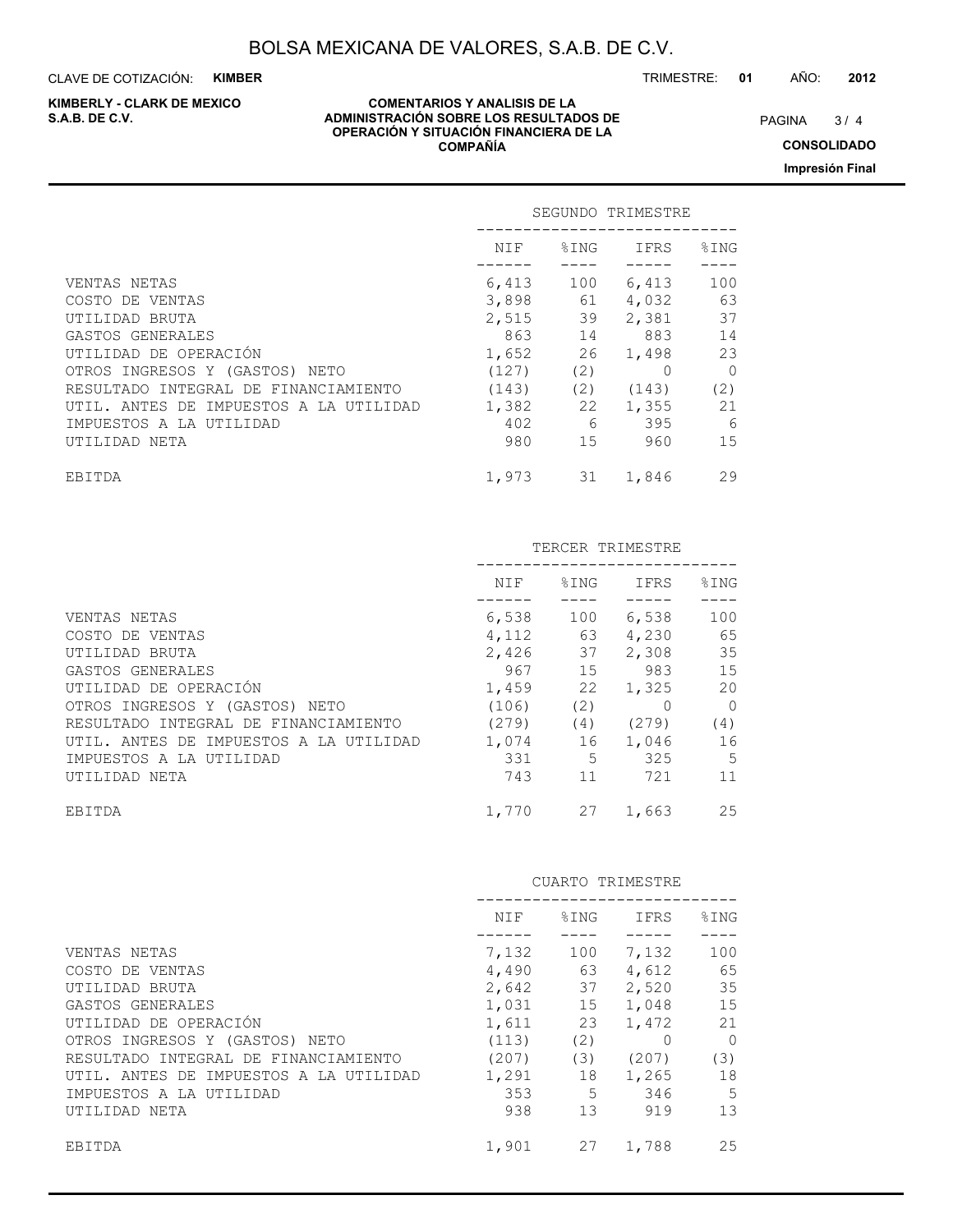CLAVE DE COTIZACIÓN: **KIMBER**

**KIMBERLY - CLARK DE MEXICO**

#### **COMENTARIOS Y ANALISIS DE LA ADMINISTRACIÓN SOBRE LOS RESULTADOS DE PAGINA 19/4** PAGINA 19/4 **OPERACIÓN Y SITUACIÓN FINANCIERA DE LA COMPAÑÍA**

 $3/4$ 

**CONSOLIDADO Impresión Final**

|                                        |          |               | SEGUNDO TRIMESTRE |                |  |
|----------------------------------------|----------|---------------|-------------------|----------------|--|
|                                        | NIF      | $\$$ ING $\:$ | IFRS              | %ING           |  |
| VENTAS NETAS                           | 6,413    | 100           | 6,413             | 100            |  |
| COSTO DE VENTAS                        | 3,898 61 |               | 4,032             | 63             |  |
| UTILIDAD BRUTA                         | 2,515 39 |               | 2,381 37          |                |  |
| GASTOS GENERALES                       |          | 863 14        | 883               | 14             |  |
| UTILIDAD DE OPERACIÓN                  | 1,652    |               | 26 1,498          | 23             |  |
| OTROS INGRESOS Y (GASTOS) NETO         | (127)    | (2)           | $\Omega$          | $\overline{0}$ |  |
| RESULTADO INTEGRAL DE FINANCIAMIENTO   | (143)    |               | $(2)$ $(143)$     | (2)            |  |
| UTIL. ANTES DE IMPUESTOS A LA UTILIDAD | 1,382 22 |               | 1,355             | 21             |  |
| IMPUESTOS A LA UTILIDAD                | 402      | - 6           | 395               | 6              |  |
| UTILIDAD NETA                          | 980      |               | 15<br>960         | 15             |  |
| EBITDA                                 | 1,973    | 31            | 1,846             | 29             |  |

|                                        |          |          | TERCER TRIMESTRE |                 |
|----------------------------------------|----------|----------|------------------|-----------------|
|                                        | NIF      | $\$$ ING | IFRS             | $\SING$         |
|                                        |          |          |                  |                 |
| VENTAS NETAS                           | 6,538    | 100      | 6,538            | 100             |
| COSTO DE VENTAS                        |          |          | 4, 112 63 4, 230 | 65              |
| UTILIDAD BRUTA                         |          | 2,426 37 | 2,308            | 35              |
| GASTOS GENERALES                       |          | 967 15   | 983 — 1980       | 15              |
| UTILIDAD DE OPERACIÓN                  |          | 1,459 22 | 1,325            | 20              |
| OTROS INGRESOS Y (GASTOS) NETO         | (106)    | (2)      | 0                | $\overline{0}$  |
| RESULTADO INTEGRAL DE FINANCIAMIENTO   | (279)    |          | $(4)$ $(279)$    | (4)             |
| UTIL. ANTES DE IMPUESTOS A LA UTILIDAD | 1,074 16 |          | 1,046            | 16              |
| IMPUESTOS A LA UTILIDAD                | 331      |          | 5 325            | $5\phantom{.0}$ |
| UTILIDAD NETA                          | 743      | 11       | 721              | 11              |
| EBITDA                                 |          | 1,770 27 | 1,663            | 25              |

|                                        |       |              | CUARTO TRIMESTRE   |          |
|----------------------------------------|-------|--------------|--------------------|----------|
|                                        | NIF   | $\Sigma$ ING | IFRS               | \$ING    |
| VENTAS NETAS                           | 7,132 | 100          | 7,132              | 100      |
| COSTO DE VENTAS                        |       | 4,490 63     | 4,612              | 65       |
| UTILIDAD BRUTA                         |       | 2,642 37     | 2,520              | 35       |
| GASTOS GENERALES                       |       | 1,031 15     | 1,048              | 15       |
| UTILIDAD DE OPERACIÓN                  | 1,611 | 23           | 1,472              | 21       |
| OTROS INGRESOS Y (GASTOS) NETO         | (113) | (2)          |                    | $\Omega$ |
| RESULTADO INTEGRAL DE FINANCIAMIENTO   | (207) | (3)          | (207)              | (3)      |
| UTIL. ANTES DE IMPUESTOS A LA UTILIDAD | 1,291 | 18           | 1,265              | 18       |
| IMPUESTOS A LA UTILIDAD                | 353   |              | $5^{\circ}$<br>346 | 5        |
| UTILIDAD NETA                          | 938   | 13           | 919                | 13       |
| EBITDA                                 | 1,901 | 27           | 1,788              | 25       |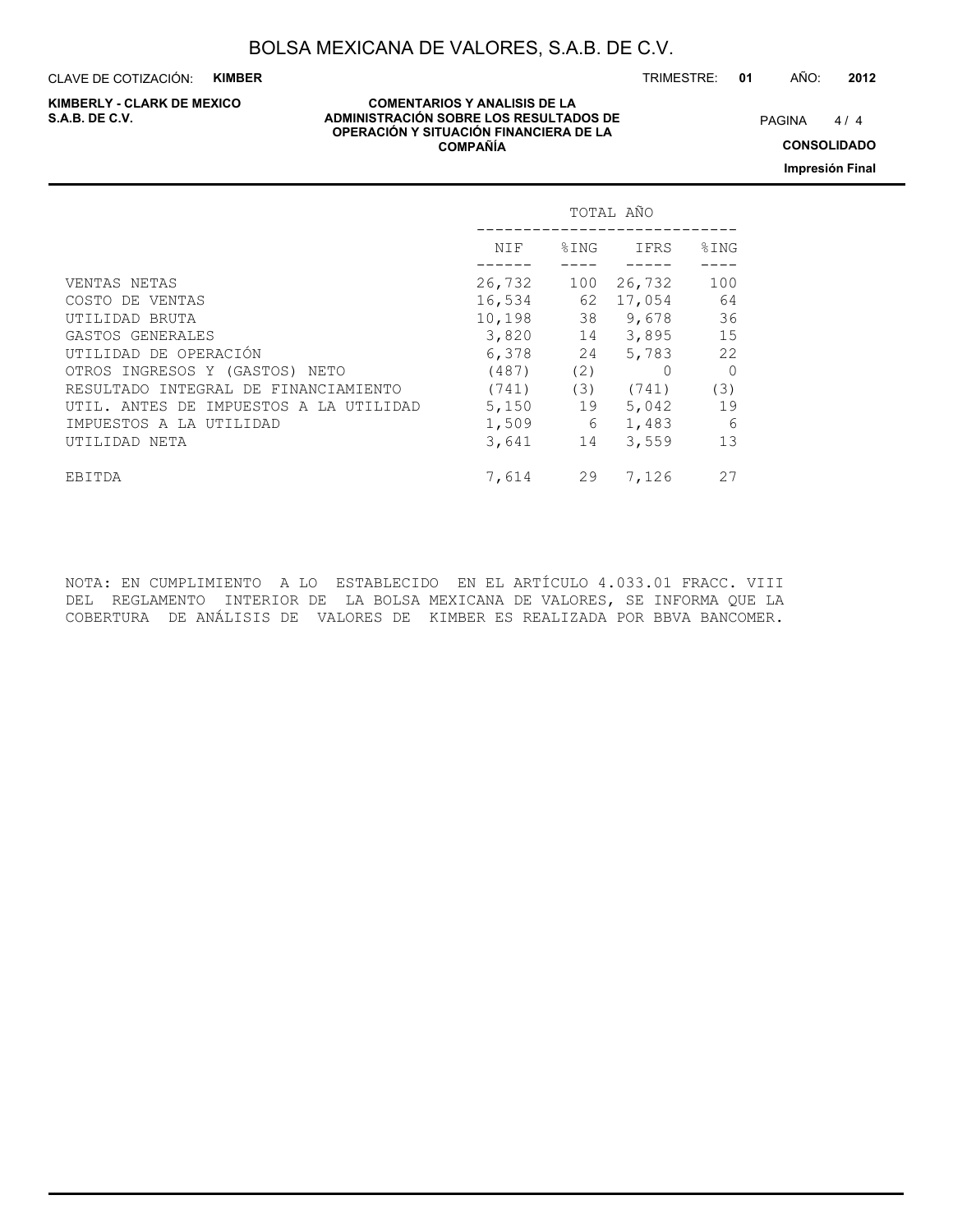CLAVE DE COTIZACIÓN: **KIMBER** TRIMESTRE: **01** AÑO: **2012**

# **KIMBERLY - CLARK DE MEXICO**

#### **COMENTARIOS Y ANALISIS DE LA ADMINISTRACIÓN SOBRE LOS RESULTADOS DE PAGINA 1/4 ADMINISTRACIÓN SOBRE LOS RESULTADOS DE OPERACIÓN Y SITUACIÓN FINANCIERA DE LA COMPAÑÍA**

 $4/4$ **CONSOLIDADO**

**Impresión Final**

|                                        |           |          | TOTAL AÑO      |         |
|----------------------------------------|-----------|----------|----------------|---------|
|                                        | NIF       | $\S$ ING | IFRS           | %ING    |
| VENTAS NETAS                           | 26,732    |          | 100 26,732     | 100     |
| COSTO DE VENTAS                        | 16,534    |          | 62 17,054      | 64      |
| UTILIDAD BRUTA                         | 10,198 38 |          | 9,678          | 36      |
| GASTOS GENERALES                       |           |          | 3,820 14 3,895 | 15      |
| UTILIDAD DE OPERACIÓN                  | 6,378     | 24       | 5,783          | 22      |
| OTROS INGRESOS Y (GASTOS) NETO         | (487)     | (2)      |                | $\circ$ |
| RESULTADO INTEGRAL DE FINANCIAMIENTO   | (741)     |          | $(3)$ $(741)$  | (3)     |
| UTIL. ANTES DE IMPUESTOS A LA UTILIDAD | 5,150     | 19       | 5,042          | 19      |
| IMPUESTOS A LA UTILIDAD                | 1,509     | 6        | 1,483          | - 6     |
| UTILIDAD NETA                          | 3,641     | 14       | 3,559          | 13      |
| EBITDA                                 | 7,614     | 29       | 7,126          | 27      |

NOTA: EN CUMPLIMIENTO A LO ESTABLECIDO EN EL ARTÍCULO 4.033.01 FRACC. VIII DEL REGLAMENTO INTERIOR DE LA BOLSA MEXICANA DE VALORES, SE INFORMA QUE LA COBERTURA DE ANÁLISIS DE VALORES DE KIMBER ES REALIZADA POR BBVA BANCOMER.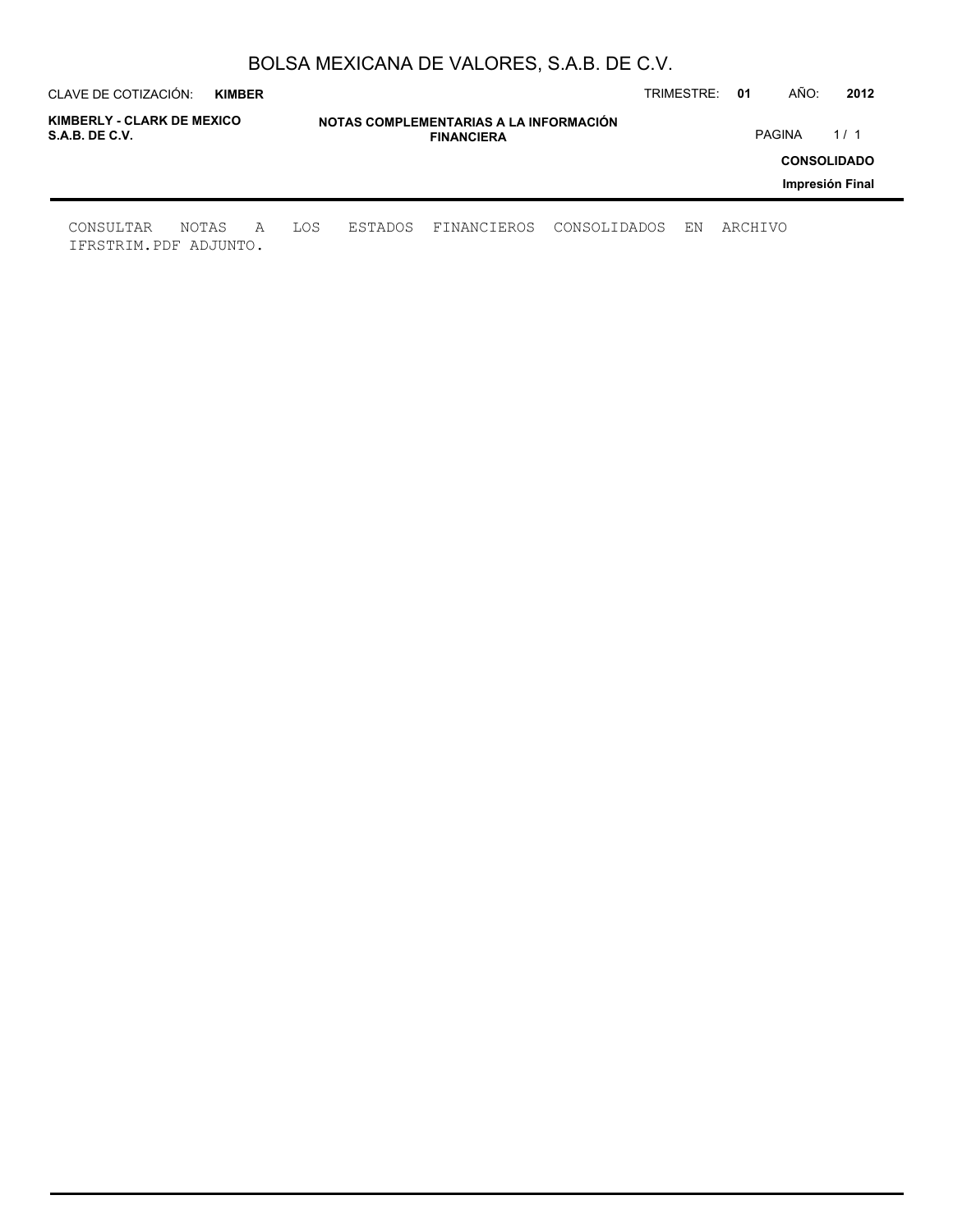| CLAVE DE COTIZACIÓN:                         | <b>KIMBER</b> |   |     |         |                                                             |              | TRIMESTRE: | 01      | AÑO:          | 2012               |
|----------------------------------------------|---------------|---|-----|---------|-------------------------------------------------------------|--------------|------------|---------|---------------|--------------------|
| KIMBERLY - CLARK DE MEXICO<br>S.A.B. DE C.V. |               |   |     |         | NOTAS COMPLEMENTARIAS A LA INFORMACIÓN<br><b>FINANCIERA</b> |              |            |         | <b>PAGINA</b> | 1/1                |
|                                              |               |   |     |         |                                                             |              |            |         |               | <b>CONSOLIDADO</b> |
|                                              |               |   |     |         |                                                             |              |            |         |               | Impresión Final    |
| CONSULTAR<br>IFRSTRIM.PDF ADJUNTO.           | NOTAS         | A | LOS | ESTADOS | FINANCIEROS                                                 | CONSOLIDADOS | ΕN         | ARCHIVO |               |                    |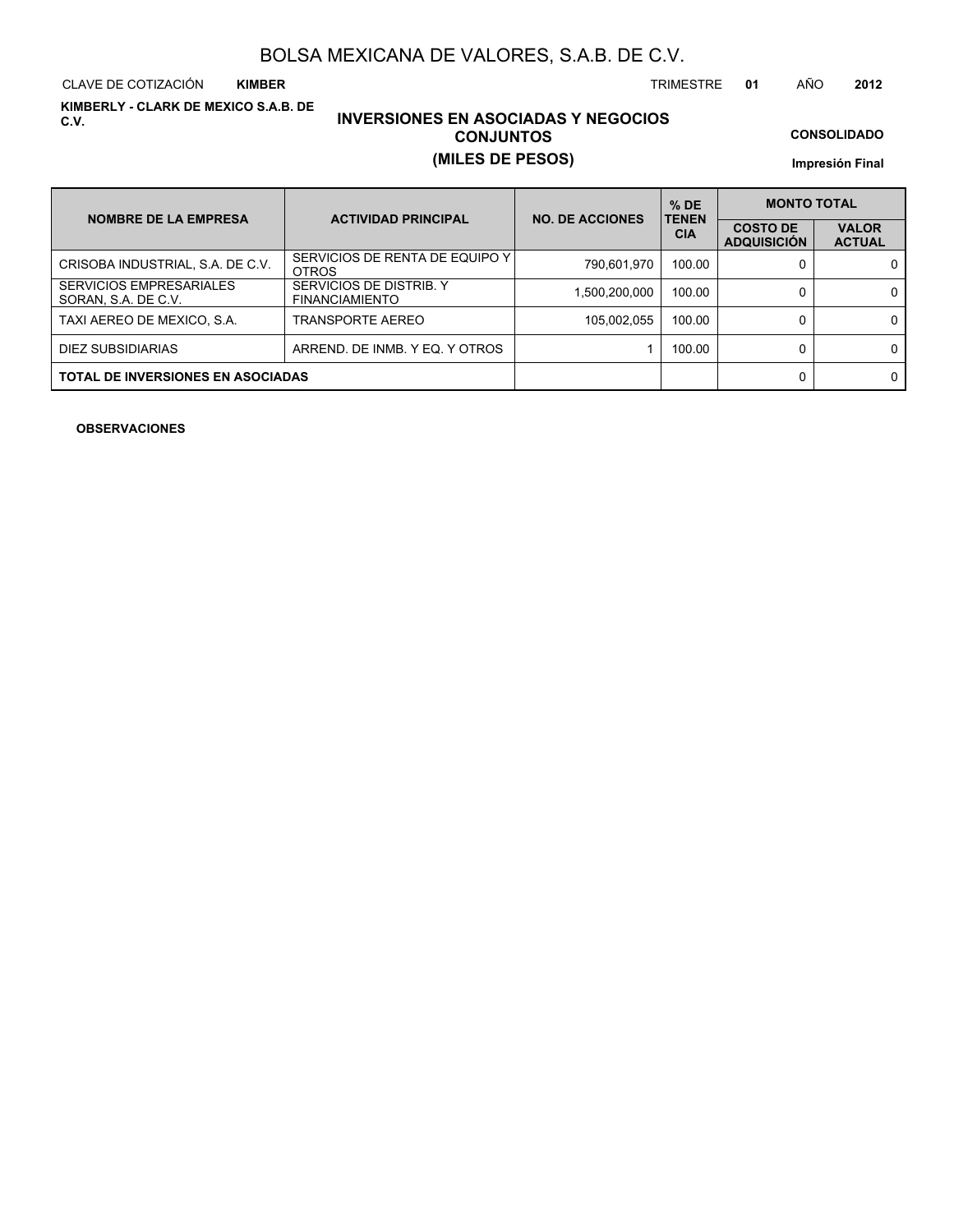CLAVE DE COTIZACIÓN TRIMESTRE **01** AÑO **2012 KIMBER**

**KIMBERLY - CLARK DE MEXICO S.A.B. DE C.V.**

### **INVERSIONES EN ASOCIADAS Y NEGOCIOS CONJUNTOS (MILES DE PESOS)**

**CONSOLIDADO**

**Impresión Final**

| <b>NOMBRE DE LA EMPRESA</b>                           | <b>ACTIVIDAD PRINCIPAL</b>                       | <b>NO. DE ACCIONES</b> | $%$ DE<br><b>TENEN</b> | <b>MONTO TOTAL</b>                    |                               |
|-------------------------------------------------------|--------------------------------------------------|------------------------|------------------------|---------------------------------------|-------------------------------|
|                                                       |                                                  |                        | <b>CIA</b>             | <b>COSTO DE</b><br><b>ADQUISICIÓN</b> | <b>VALOR</b><br><b>ACTUAL</b> |
| CRISOBA INDUSTRIAL, S.A. DE C.V.                      | SERVICIOS DE RENTA DE EQUIPO Y I<br><b>OTROS</b> | 790,601,970            | 100.00                 |                                       | 0                             |
| <b>SERVICIOS EMPRESARIALES</b><br>SORAN, S.A. DE C.V. | SERVICIOS DE DISTRIB. Y<br><b>FINANCIAMIENTO</b> | 1,500,200,000          | 100.00                 |                                       | 0                             |
| TAXI AEREO DE MEXICO, S.A.                            | TRANSPORTE AEREO                                 | 105,002,055            | 100.00                 |                                       | 0                             |
| DIEZ SUBSIDIARIAS                                     | ARREND. DE INMB. Y EQ. Y OTROS                   |                        | 100.00                 |                                       | 0                             |
| <b>TOTAL DE INVERSIONES EN ASOCIADAS</b>              |                                                  |                        |                        |                                       | 0                             |

**OBSERVACIONES**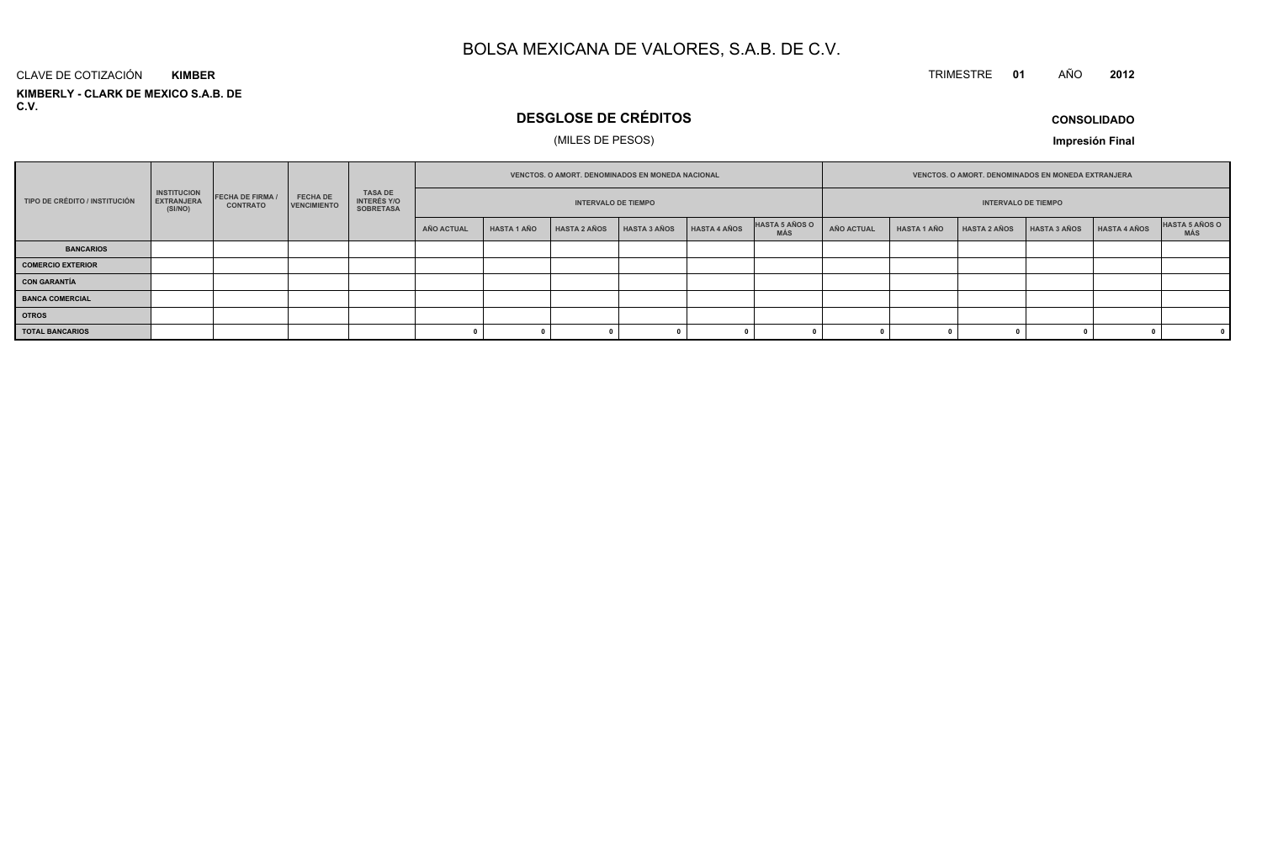#### TRIMESTRE **<sup>01</sup>** AÑO**<sup>2012</sup>**

**KIMBERLY - CLARK DE MEXICO S.A.B. DE C.V.**CLAVE DE COTIZACIÓN**KIMBER**

### **DESGLOSE DE CRÉDITOS**

### (MILES DE PESOS)

**CONSOLIDADO**

| <b>INSTITUCION</b><br><b>TASA DE</b><br><b>FECHA DE FIRMA /</b><br><b>FECHA DE</b> |                              |                 |                    | VENCTOS, O AMORT, DENOMINADOS EN MONEDA NACIONAL |            |                    |                            |              |                     |                              |            |                    | <b>VENCTOS, O AMORT, DENOMINADOS EN MONEDA EXTRANJERA</b> |              |              |                       |
|------------------------------------------------------------------------------------|------------------------------|-----------------|--------------------|--------------------------------------------------|------------|--------------------|----------------------------|--------------|---------------------|------------------------------|------------|--------------------|-----------------------------------------------------------|--------------|--------------|-----------------------|
| TIPO DE CRÉDITO / INSTITUCIÓN                                                      | <b>EXTRANJERA</b><br>(SI/NO) | <b>CONTRATO</b> | <b>VENCIMIENTO</b> | <b>INTERÉS Y/O</b><br><b>SOBRETASA</b>           |            |                    | <b>INTERVALO DE TIEMPO</b> |              |                     |                              |            |                    | <b>INTERVALO DE TIEMPO</b>                                |              |              |                       |
|                                                                                    |                              |                 |                    |                                                  | AÑO ACTUAL | <b>HASTA 1 AÑO</b> | <b>HASTA 2 AÑOS</b>        | HASTA 3 AÑOS | <b>HASTA 4 AÑOS</b> | HASTA 5 AÑOS O<br><b>MÁS</b> | AÑO ACTUAL | <b>HASTA 1 AÑO</b> | <b>HASTA 2 AÑOS</b>                                       | HASTA 3 AÑOS | HASTA 4 AÑOS | HASTA 5 AÑOS O<br>MÁS |
| <b>BANCARIOS</b>                                                                   |                              |                 |                    |                                                  |            |                    |                            |              |                     |                              |            |                    |                                                           |              |              |                       |
| <b>COMERCIO EXTERIOR</b>                                                           |                              |                 |                    |                                                  |            |                    |                            |              |                     |                              |            |                    |                                                           |              |              |                       |
| <b>CON GARANTÍA</b>                                                                |                              |                 |                    |                                                  |            |                    |                            |              |                     |                              |            |                    |                                                           |              |              |                       |
| <b>BANCA COMERCIAL</b>                                                             |                              |                 |                    |                                                  |            |                    |                            |              |                     |                              |            |                    |                                                           |              |              |                       |
| <b>OTROS</b>                                                                       |                              |                 |                    |                                                  |            |                    |                            |              |                     |                              |            |                    |                                                           |              |              |                       |
| <b>TOTAL BANCARIOS</b>                                                             |                              |                 |                    |                                                  |            |                    |                            |              |                     |                              |            |                    |                                                           |              |              | $\mathbf{0}$          |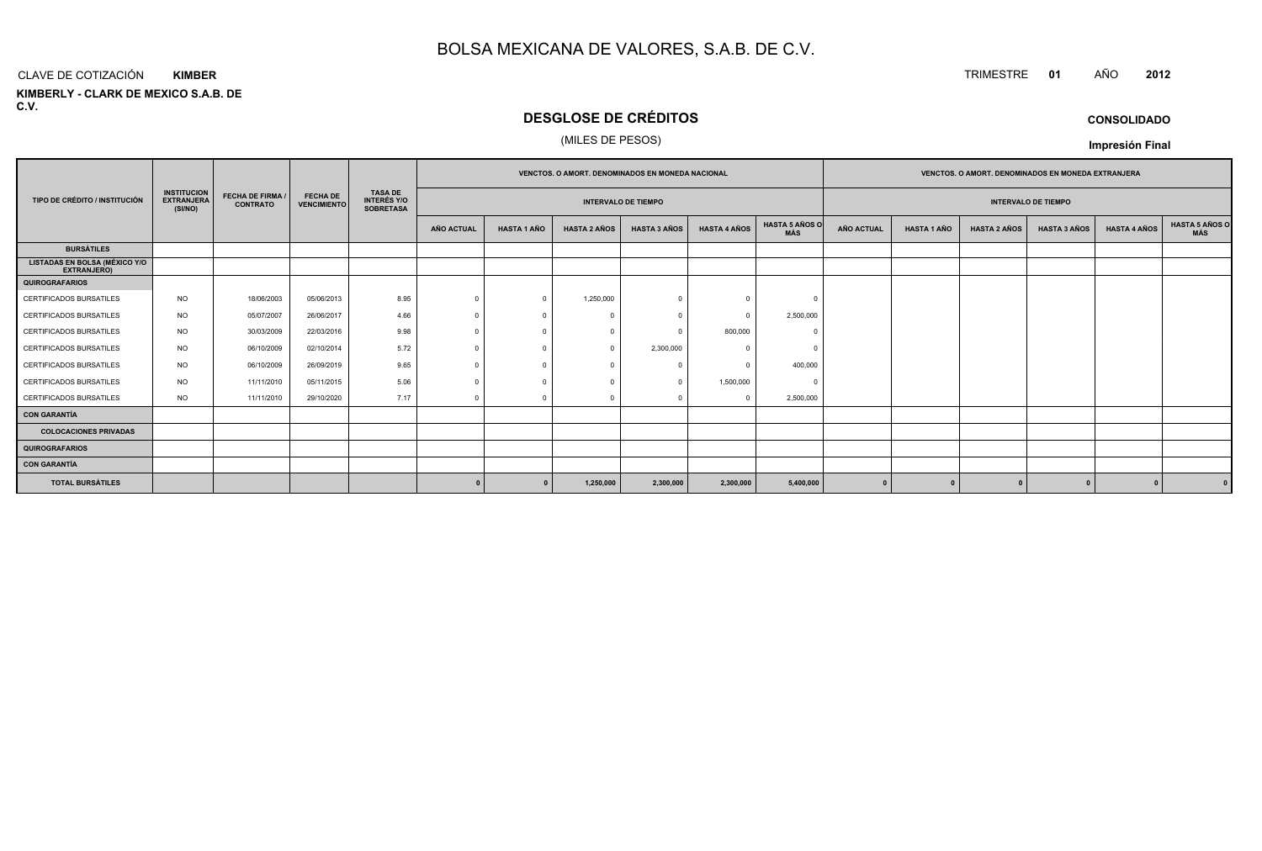#### CLAVE DE COTIZACIÓN**KIMBER**

**KIMBERLY - CLARK DE MEXICO S.A.B. DE C.V.**

### **DESGLOSE DE CRÉDITOS**

#### (MILES DE PESOS)

|                                                     |                                                    |                                            |                                       |                                                          |                   | <b>VENCTOS, O AMORT, DENOMINADOS EN MONEDA EXTRANJERA</b><br><b>VENCTOS, O AMORT, DENOMINADOS EN MONEDA NACIONAL</b> |                     |                            |                     |                              |                   |                    |                     |                            |                     |                       |  |  |
|-----------------------------------------------------|----------------------------------------------------|--------------------------------------------|---------------------------------------|----------------------------------------------------------|-------------------|----------------------------------------------------------------------------------------------------------------------|---------------------|----------------------------|---------------------|------------------------------|-------------------|--------------------|---------------------|----------------------------|---------------------|-----------------------|--|--|
| TIPO DE CRÉDITO / INSTITUCIÓN                       | <b>INSTITUCION</b><br><b>EXTRANJERA</b><br>(SI/NO) | <b>FECHA DE FIRMA /</b><br><b>CONTRATO</b> | <b>FECHA DE</b><br><b>VENCIMIENTO</b> | <b>TASA DE</b><br><b>INTERÉS Y/O</b><br><b>SOBRETASA</b> |                   |                                                                                                                      |                     | <b>INTERVALO DE TIEMPO</b> |                     |                              |                   |                    |                     | <b>INTERVALO DE TIEMPO</b> |                     |                       |  |  |
|                                                     |                                                    |                                            |                                       |                                                          | <b>AÑO ACTUAL</b> | <b>HASTA 1 AÑO</b>                                                                                                   | <b>HASTA 2 AÑOS</b> | <b>HASTA 3 AÑOS</b>        | <b>HASTA 4 AÑOS</b> | <b>HASTA 5 AÑOS O</b><br>MÁS | <b>AÑO ACTUAL</b> | <b>HASTA 1 AÑO</b> | <b>HASTA 2 AÑOS</b> | <b>HASTA 3 AÑOS</b>        | <b>HASTA 4 AÑOS</b> | HASTA 5 AÑOS C<br>MÁS |  |  |
| <b>BURSÁTILES</b>                                   |                                                    |                                            |                                       |                                                          |                   |                                                                                                                      |                     |                            |                     |                              |                   |                    |                     |                            |                     |                       |  |  |
| <b>LISTADAS EN BOLSA (MÉXICO Y/O</b><br>EXTRANJERO) |                                                    |                                            |                                       |                                                          |                   |                                                                                                                      |                     |                            |                     |                              |                   |                    |                     |                            |                     |                       |  |  |
| <b>QUIROGRAFARIOS</b>                               |                                                    |                                            |                                       |                                                          |                   |                                                                                                                      |                     |                            |                     |                              |                   |                    |                     |                            |                     |                       |  |  |
| CERTIFICADOS BURSATILES                             | <b>NO</b>                                          | 18/06/2003                                 | 05/06/2013                            | 8.95                                                     | $\Omega$          | $\Omega$                                                                                                             | 1,250,000           |                            | $\Omega$            |                              |                   |                    |                     |                            |                     |                       |  |  |
| CERTIFICADOS BURSATILES                             | <b>NO</b>                                          | 05/07/2007                                 | 26/06/2017                            | 4.66                                                     | $\Omega$          |                                                                                                                      |                     |                            | $\Omega$            | 2,500,000                    |                   |                    |                     |                            |                     |                       |  |  |
| <b>CERTIFICADOS BURSATILES</b>                      | <b>NO</b>                                          | 30/03/2009                                 | 22/03/2016                            | 9.98                                                     | $\Omega$          |                                                                                                                      | $\Omega$            |                            | 800,000             | $\Omega$                     |                   |                    |                     |                            |                     |                       |  |  |
| CERTIFICADOS BURSATILES                             | <b>NO</b>                                          | 06/10/2009                                 | 02/10/2014                            | 5.72                                                     |                   |                                                                                                                      |                     | 2,300,000                  | $\Omega$            |                              |                   |                    |                     |                            |                     |                       |  |  |
| <b>CERTIFICADOS BURSATILES</b>                      | <b>NO</b>                                          | 06/10/2009                                 | 26/09/2019                            | 9.65                                                     | $\Omega$          |                                                                                                                      |                     |                            | $\Omega$            | 400,000                      |                   |                    |                     |                            |                     |                       |  |  |
| CERTIFICADOS BURSATILES                             | <b>NO</b>                                          | 11/11/2010                                 | 05/11/2015                            | 5.06                                                     |                   |                                                                                                                      |                     |                            | 1,500,000           | $\Omega$                     |                   |                    |                     |                            |                     |                       |  |  |
| CERTIFICADOS BURSATILES                             | <b>NO</b>                                          | 11/11/2010                                 | 29/10/2020                            | 7.17                                                     | $\Omega$          | $\Omega$                                                                                                             | $\cap$              |                            | $^{\circ}$          | 2,500,000                    |                   |                    |                     |                            |                     |                       |  |  |
| <b>CON GARANTÍA</b>                                 |                                                    |                                            |                                       |                                                          |                   |                                                                                                                      |                     |                            |                     |                              |                   |                    |                     |                            |                     |                       |  |  |
| <b>COLOCACIONES PRIVADAS</b>                        |                                                    |                                            |                                       |                                                          |                   |                                                                                                                      |                     |                            |                     |                              |                   |                    |                     |                            |                     |                       |  |  |
| <b>QUIROGRAFARIOS</b>                               |                                                    |                                            |                                       |                                                          |                   |                                                                                                                      |                     |                            |                     |                              |                   |                    |                     |                            |                     |                       |  |  |
| <b>CON GARANTÍA</b>                                 |                                                    |                                            |                                       |                                                          |                   |                                                                                                                      |                     |                            |                     |                              |                   |                    |                     |                            |                     |                       |  |  |
| <b>TOTAL BURSÁTILES</b>                             |                                                    |                                            |                                       |                                                          |                   | $\Omega$                                                                                                             | 1,250,000           | 2,300,000                  | 2,300,000           | 5,400,000                    |                   |                    |                     |                            |                     |                       |  |  |

#### **CONSOLIDADO**

**Impresión Final**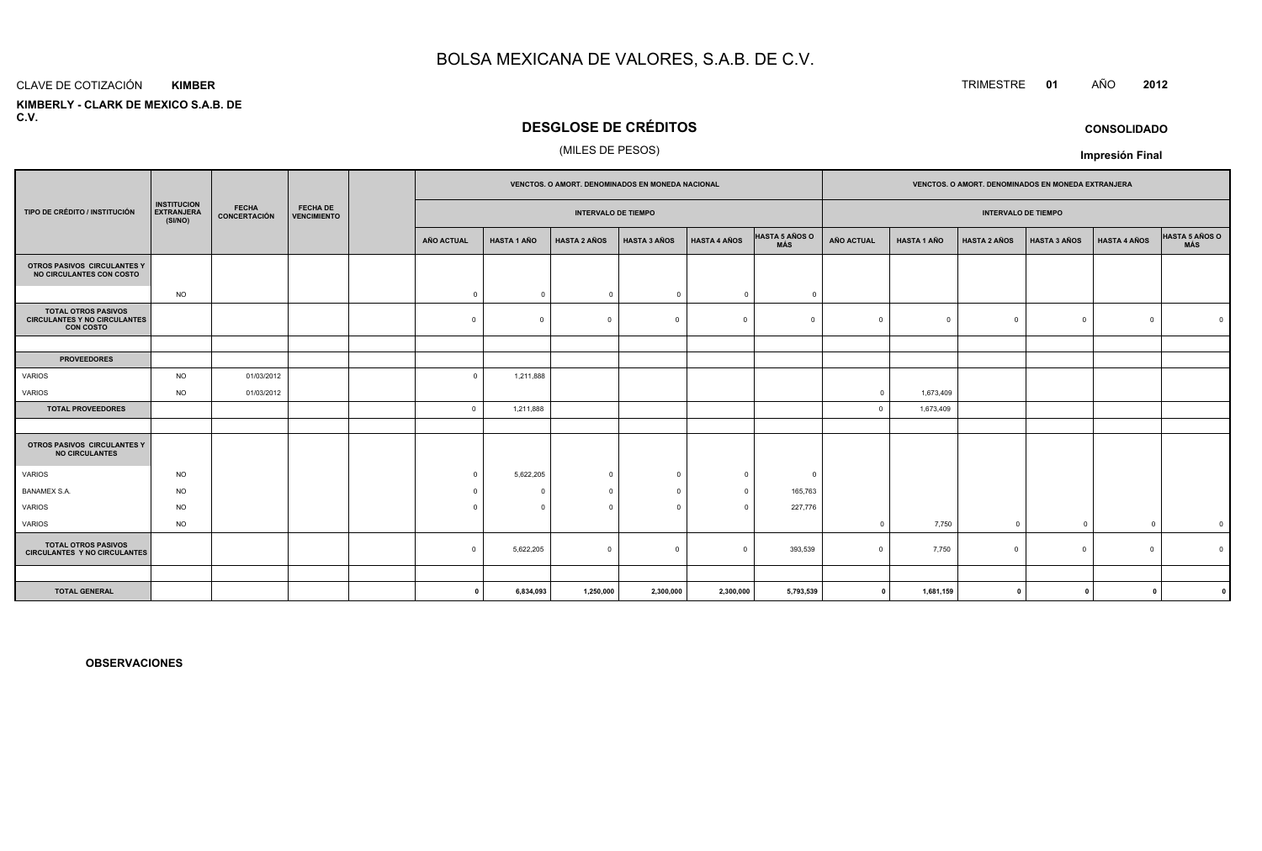#### CLAVE DE COTIZACIÓN**KIMBER**

 **KIMBERLY - CLARK DE MEXICO S.A.B. DEC.V.**

### **DESGLOSE DE CRÉDITOS**

#### (MILES DE PESOS)

|                                                                                       |                                                    |                              |                                       |                |                    | <b>VENCTOS, O AMORT, DENOMINADOS EN MONEDA NACIONAL</b> |                     |                     |                              |              | <b>VENCTOS, O AMORT, DENOMINADOS EN MONEDA EXTRANJERA</b> |                            |                     |                     |                |
|---------------------------------------------------------------------------------------|----------------------------------------------------|------------------------------|---------------------------------------|----------------|--------------------|---------------------------------------------------------|---------------------|---------------------|------------------------------|--------------|-----------------------------------------------------------|----------------------------|---------------------|---------------------|----------------|
| TIPO DE CRÉDITO / INSTITUCIÓN                                                         | <b>INSTITUCION</b><br><b>EXTRANJERA</b><br>(SI/NO) | <b>FECHA</b><br>CONCERTACIÓN | <b>FECHA DE</b><br><b>VENCIMIENTO</b> |                |                    | <b>INTERVALO DE TIEMPO</b>                              |                     |                     |                              |              |                                                           | <b>INTERVALO DE TIEMPO</b> |                     |                     |                |
|                                                                                       |                                                    |                              |                                       | AÑO ACTUAL     | <b>HASTA 1 AÑO</b> | <b>HASTA 2 AÑOS</b>                                     | <b>HASTA 3 AÑOS</b> | <b>HASTA 4 AÑOS</b> | <b>HASTA 5 AÑOS O</b><br>MÁS | AÑO ACTUAL   | <b>HASTA 1 AÑO</b>                                        | <b>HASTA 2 AÑOS</b>        | <b>HASTA 3 AÑOS</b> | <b>HASTA 4 AÑOS</b> | HASTA 5 AÑOS O |
| OTROS PASIVOS CIRCULANTES Y<br>NO CIRCULANTES CON COSTO                               |                                                    |                              |                                       |                |                    |                                                         |                     |                     |                              |              |                                                           |                            |                     |                     |                |
|                                                                                       | <b>NO</b>                                          |                              |                                       | $\overline{0}$ | $\Omega$           | $\circ$                                                 | $\Omega$            | $\Omega$            | $\Omega$                     |              |                                                           |                            |                     |                     |                |
| <b>TOTAL OTROS PASIVOS</b><br><b>CIRCULANTES Y NO CIRCULANTES</b><br><b>CON COSTO</b> |                                                    |                              |                                       | $\Omega$       | $\Omega$           | $\Omega$                                                | $\Omega$            | $\Omega$            | $\Omega$                     | $\Omega$     | $\overline{0}$                                            | $\Omega$                   | $\circ$             | $\Omega$            |                |
|                                                                                       |                                                    |                              |                                       |                |                    |                                                         |                     |                     |                              |              |                                                           |                            |                     |                     |                |
| <b>PROVEEDORES</b>                                                                    |                                                    |                              |                                       |                |                    |                                                         |                     |                     |                              |              |                                                           |                            |                     |                     |                |
| VARIOS                                                                                | <b>NO</b>                                          | 01/03/2012                   |                                       | $\overline{0}$ | 1,211,888          |                                                         |                     |                     |                              |              |                                                           |                            |                     |                     |                |
| VARIOS                                                                                | <b>NO</b>                                          | 01/03/2012                   |                                       |                |                    |                                                         |                     |                     |                              | $\Omega$     | 1,673,409                                                 |                            |                     |                     |                |
| <b>TOTAL PROVEEDORES</b>                                                              |                                                    |                              |                                       | $\overline{0}$ | 1,211,888          |                                                         |                     |                     |                              | $\Omega$     | 1,673,409                                                 |                            |                     |                     |                |
| OTROS PASIVOS CIRCULANTES Y<br><b>NO CIRCULANTES</b>                                  |                                                    |                              |                                       |                |                    |                                                         |                     |                     |                              |              |                                                           |                            |                     |                     |                |
| VARIOS                                                                                | <b>NO</b>                                          |                              |                                       | $\overline{0}$ | 5,622,205          | $\mathbf 0$                                             | $\Omega$            | $\Omega$            | $\Omega$                     |              |                                                           |                            |                     |                     |                |
| BANAMEX S.A.                                                                          | <b>NO</b>                                          |                              |                                       | $\Omega$       | $\Omega$           | $\mathbf 0$                                             | $\Omega$            | $\Omega$            | 165,763                      |              |                                                           |                            |                     |                     |                |
| VARIOS                                                                                | <b>NO</b>                                          |                              |                                       | $\Omega$       | $\Omega$           | $\mathbf{0}$                                            | $\Omega$            | $\Omega$            | 227,776                      |              |                                                           |                            |                     |                     |                |
| VARIOS                                                                                | <b>NO</b>                                          |                              |                                       |                |                    |                                                         |                     |                     |                              |              | 7,750                                                     | $^{\circ}$                 | $\overline{0}$      | $\Omega$            | $\overline{0}$ |
| <b>TOTAL OTROS PASIVOS</b><br><b>CIRCULANTES Y NO CIRCULANTES</b>                     |                                                    |                              |                                       | $\mathbf 0$    | 5,622,205          | $\mathbf 0$                                             | $\overline{0}$      | $\Omega$            | 393,539                      |              | 7,750                                                     | $\Omega$                   | $\circ$             | $\Omega$            |                |
|                                                                                       |                                                    |                              |                                       |                |                    |                                                         |                     |                     |                              |              |                                                           |                            |                     |                     |                |
| <b>TOTAL GENERAL</b>                                                                  |                                                    |                              |                                       | $\Omega$       | 6,834,093          | 1,250,000                                               | 2,300,000           | 2,300,000           | 5,793,539                    | $\mathbf{0}$ | 1,681,159                                                 | $\mathbf{0}$               | $\Omega$            |                     |                |

**OBSERVACIONES**

### TRIMESTRE **<sup>01</sup>** AÑO **<sup>2012</sup>**

**CONSOLIDADO**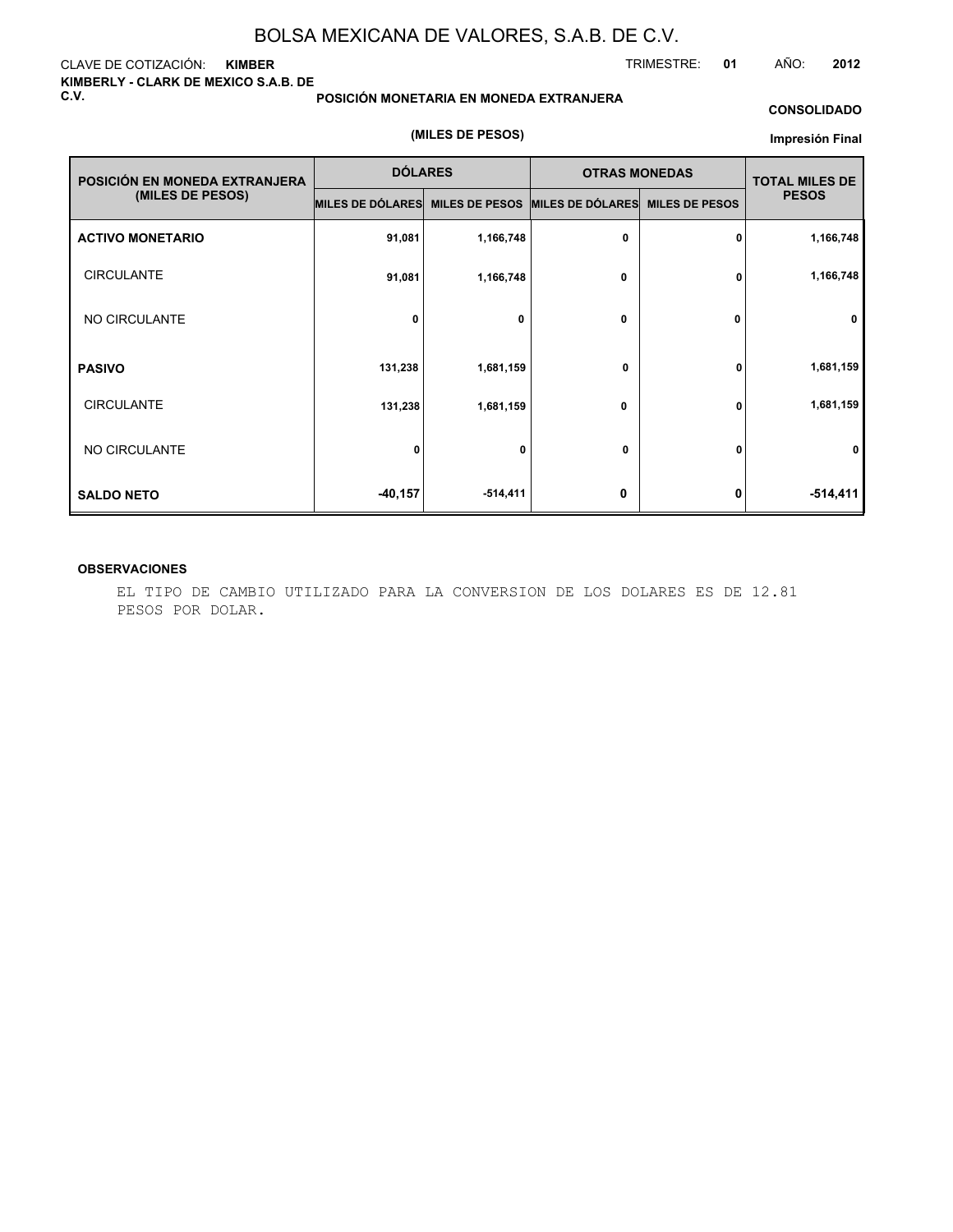#### CLAVE DE COTIZACIÓN: **KIMBER KIMBERLY - CLARK DE MEXICO S.A.B. DE C.V.**

#### **POSICIÓN MONETARIA EN MONEDA EXTRANJERA**

#### **CONSOLIDADO**

#### **(MILES DE PESOS)**

#### **Impresión Final**

| POSICIÓN EN MONEDA EXTRANJERA | <b>DÓLARES</b>   |                       | <b>OTRAS MONEDAS</b> |                       | <b>TOTAL MILES DE</b> |
|-------------------------------|------------------|-----------------------|----------------------|-----------------------|-----------------------|
| (MILES DE PESOS)              | MILES DE DÓLARES | <b>MILES DE PESOS</b> | MILES DE DÓLARES     | <b>MILES DE PESOS</b> | <b>PESOS</b>          |
| <b>ACTIVO MONETARIO</b>       | 91,081           | 1,166,748             | 0                    | 0                     | 1,166,748             |
| <b>CIRCULANTE</b>             | 91,081           | 1,166,748             | 0                    | 0                     | 1,166,748             |
| NO CIRCULANTE                 | 0                | 0                     | 0                    | 0                     | $\mathbf 0$           |
| <b>PASIVO</b>                 | 131,238          | 1,681,159             | 0                    | 0                     | 1,681,159             |
| <b>CIRCULANTE</b>             | 131,238          | 1,681,159             | 0                    | 0                     | 1,681,159             |
| NO CIRCULANTE                 | $\mathbf{0}$     | 0                     | 0                    | U                     | 0                     |
| <b>SALDO NETO</b>             | $-40,157$        | -514,411              | 0                    | 0                     | $-514,411$            |

#### **OBSERVACIONES**

EL TIPO DE CAMBIO UTILIZADO PARA LA CONVERSION DE LOS DOLARES ES DE 12.81 PESOS POR DOLAR.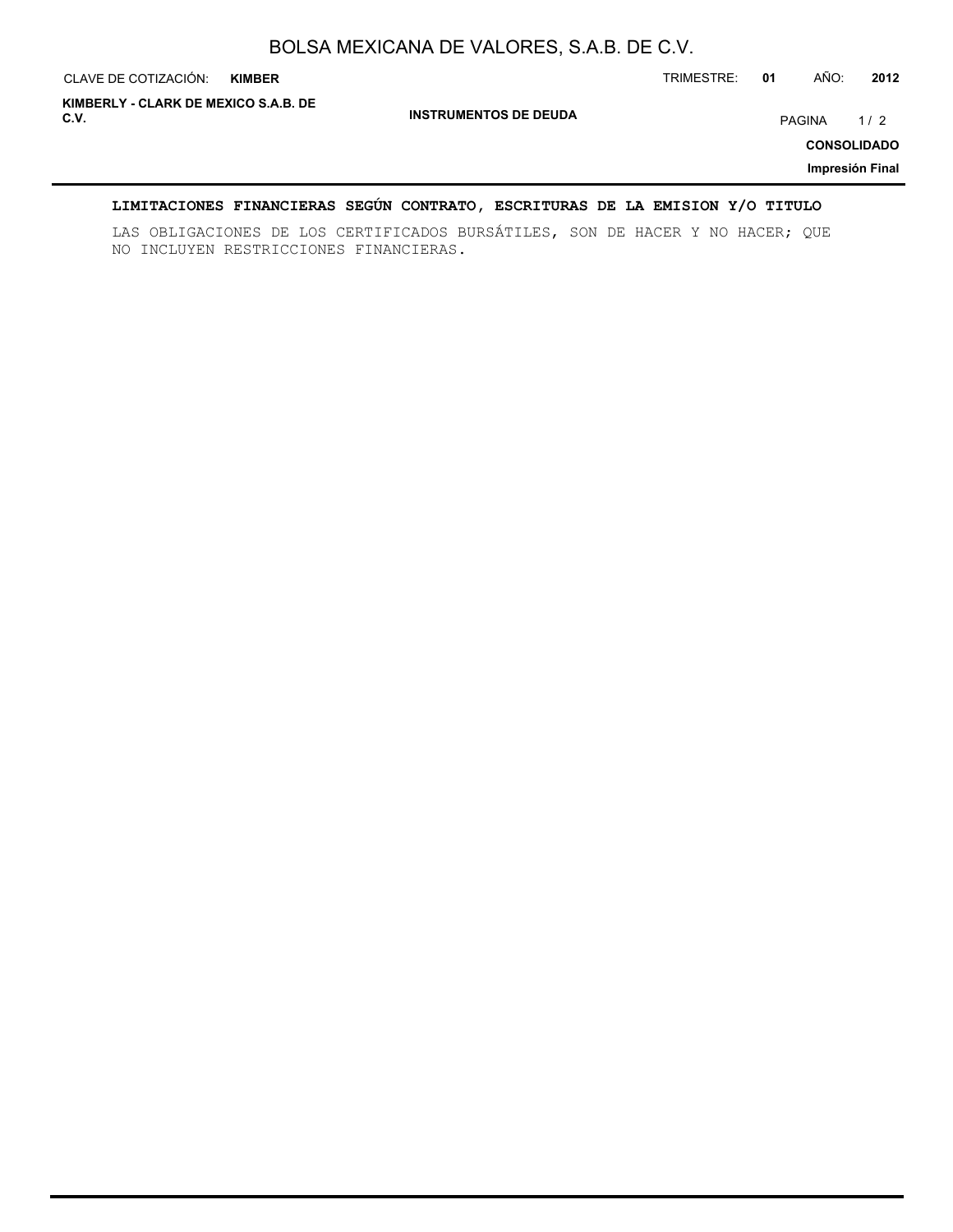| CLAVE DE COTIZACIÓN:                         | <b>KIMBER</b> |                              | TRIMESTRE: | 01 | AÑO:   | 2012                                         |
|----------------------------------------------|---------------|------------------------------|------------|----|--------|----------------------------------------------|
| KIMBERLY - CLARK DE MEXICO S.A.B. DE<br>C.V. |               | <b>INSTRUMENTOS DE DEUDA</b> |            |    | PAGINA | 1/2<br><b>CONSOLIDADO</b><br>Impresión Final |

### **LIMITACIONES FINANCIERAS SEGÚN CONTRATO, ESCRITURAS DE LA EMISION Y/O TITULO**

LAS OBLIGACIONES DE LOS CERTIFICADOS BURSÁTILES, SON DE HACER Y NO HACER; QUE NO INCLUYEN RESTRICCIONES FINANCIERAS.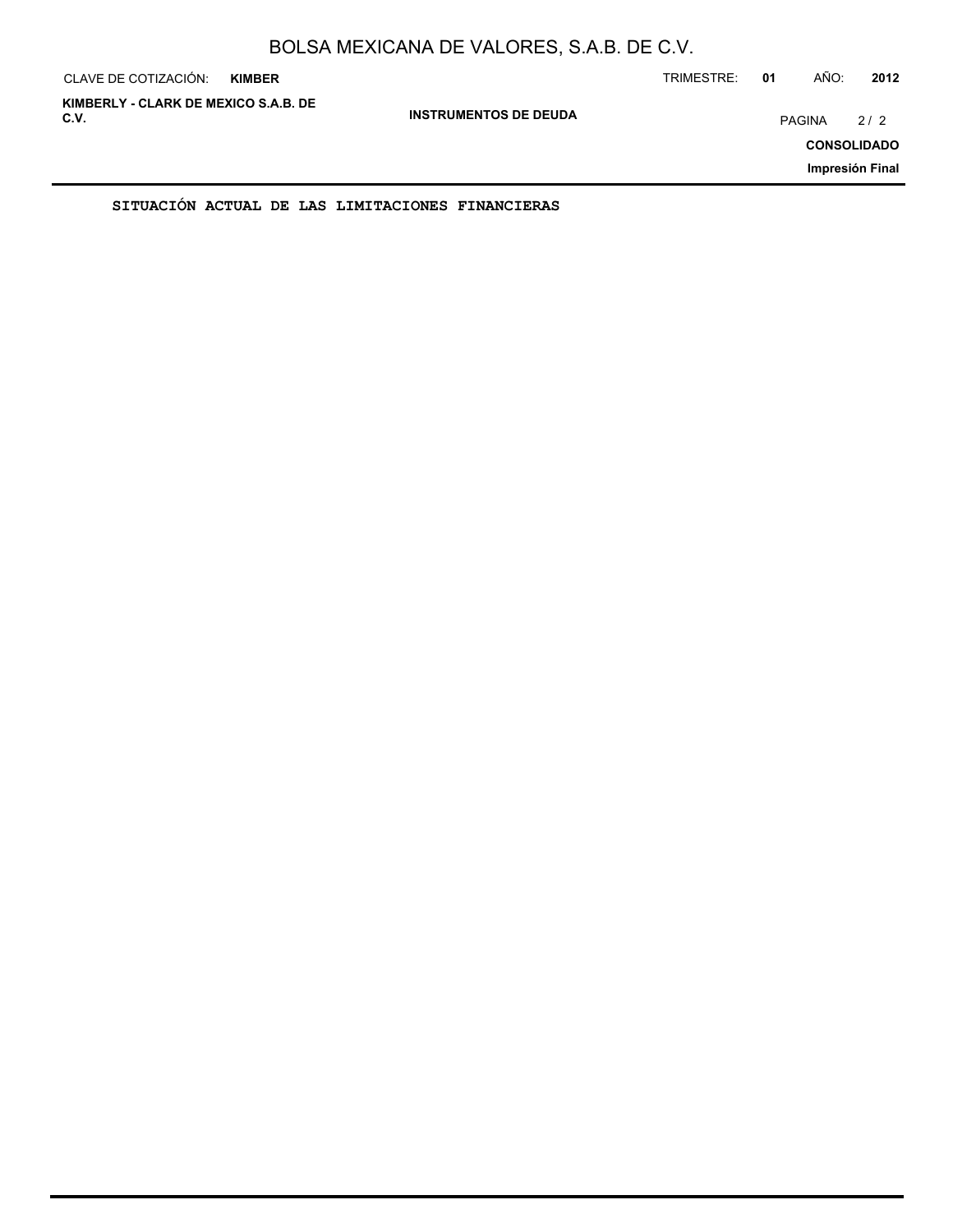| CLAVE DE COTIZACIÓN:                         | <b>KIMBER</b> |                              | TRIMESTRE: | 01     | AÑO: | 2012                                         |
|----------------------------------------------|---------------|------------------------------|------------|--------|------|----------------------------------------------|
| KIMBERLY - CLARK DE MEXICO S.A.B. DE<br>C.V. |               | <b>INSTRUMENTOS DE DEUDA</b> |            | PAGINA |      | 2/2<br><b>CONSOLIDADO</b><br>Impresión Final |
|                                              |               |                              |            |        |      |                                              |

**SITUACIÓN ACTUAL DE LAS LIMITACIONES FINANCIERAS**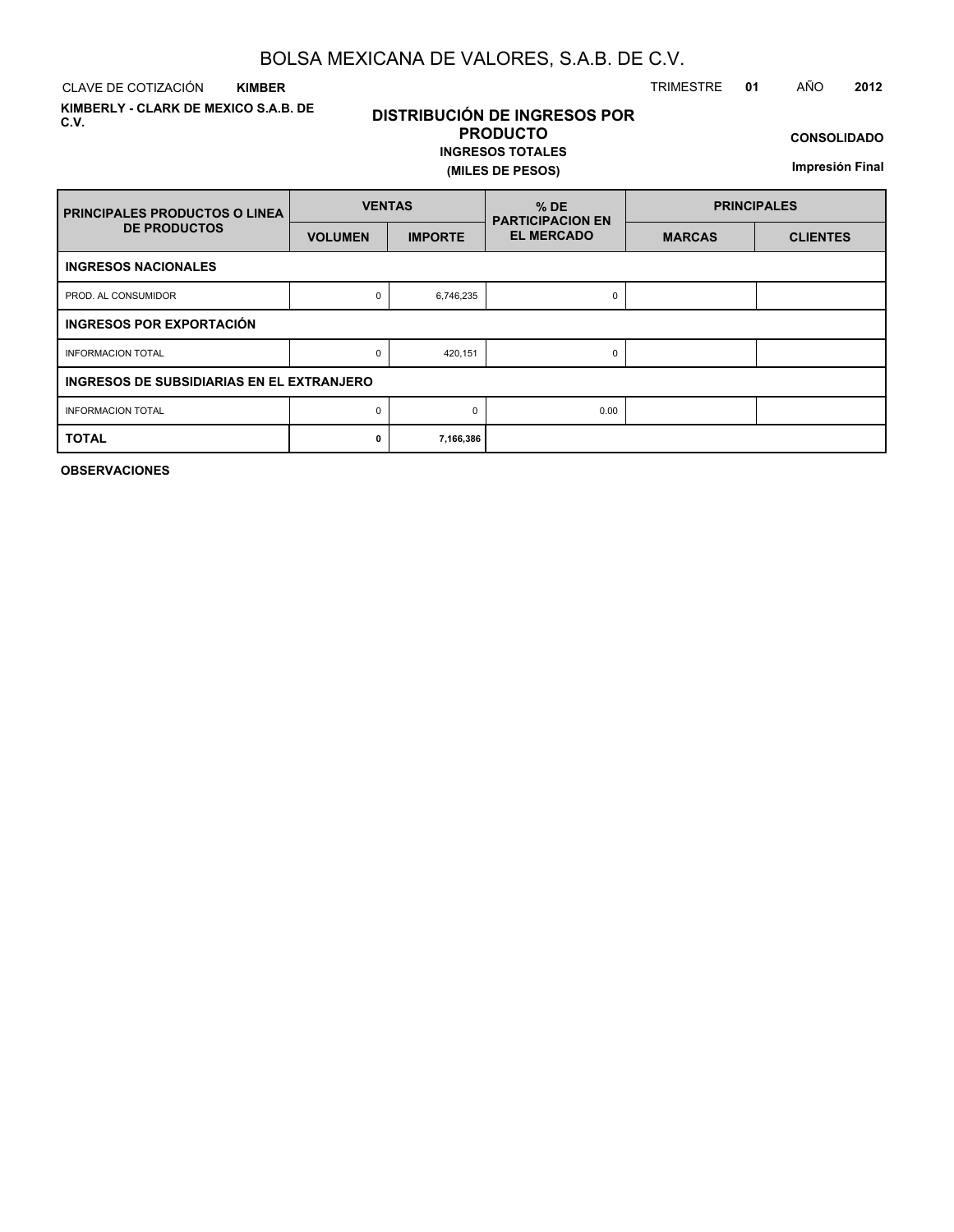CLAVE DE COTIZACIÓN TRIMESTRE **01** AÑO **2012 KIMBER**

**KIMBERLY - CLARK DE MEXICO S.A.B. DE C.V.**

### **DISTRIBUCIÓN DE INGRESOS POR PRODUCTO**

**INGRESOS TOTALES (MILES DE PESOS)**

**CONSOLIDADO**

**Impresión Final**

| <b>PRINCIPALES PRODUCTOS O LINEA</b>      | <b>VENTAS</b>  |                | $%$ DE<br><b>PARTICIPACION EN</b> | <b>PRINCIPALES</b> |                 |  |  |  |
|-------------------------------------------|----------------|----------------|-----------------------------------|--------------------|-----------------|--|--|--|
| <b>DE PRODUCTOS</b>                       | <b>VOLUMEN</b> | <b>IMPORTE</b> | <b>EL MERCADO</b>                 | <b>MARCAS</b>      | <b>CLIENTES</b> |  |  |  |
| <b>INGRESOS NACIONALES</b>                |                |                |                                   |                    |                 |  |  |  |
| PROD. AL CONSUMIDOR                       | 0              | 6,746,235      | 0                                 |                    |                 |  |  |  |
| INGRESOS POR EXPORTACIÓN                  |                |                |                                   |                    |                 |  |  |  |
| <b>INFORMACION TOTAL</b>                  | 0              | 420,151        | 0                                 |                    |                 |  |  |  |
| INGRESOS DE SUBSIDIARIAS EN EL EXTRANJERO |                |                |                                   |                    |                 |  |  |  |
| <b>INFORMACION TOTAL</b>                  | 0              | $\Omega$       | 0.00                              |                    |                 |  |  |  |
| <b>TOTAL</b>                              | 0              | 7,166,386      |                                   |                    |                 |  |  |  |

**OBSERVACIONES**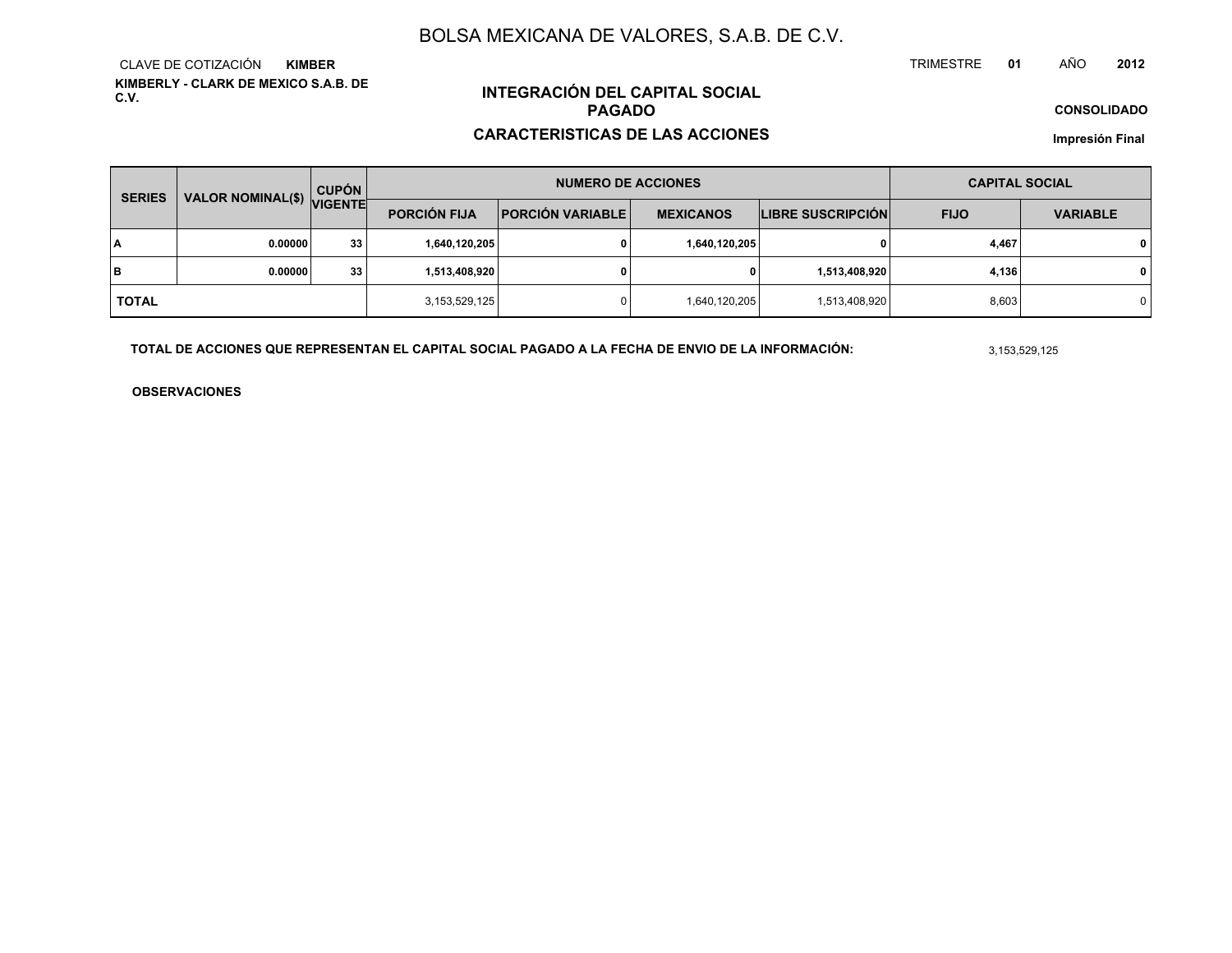**KIMBERLY - CLARK DE MEXICO S.A.B. DE C.V.**CLAVE DE COTIZACIÓN**KIMBER**

## **INTEGRACIÓN DEL CAPITAL SOCIALPAGADO**

#### **CARACTERISTICAS DE LAS ACCIONES**

**CONSOLIDADO**

**Impresión Final**

| <b>SERIES</b> | VALOR NOMINAL(\$) VIGENTE | <b>CUPÓN</b> |                     | <b>NUMERO DE ACCIONES</b> | <b>CAPITAL SOCIAL</b> |                          |             |                 |
|---------------|---------------------------|--------------|---------------------|---------------------------|-----------------------|--------------------------|-------------|-----------------|
|               |                           |              | <b>PORCIÓN FIJA</b> | <b>PORCIÓN VARIABLE</b>   | <b>MEXICANOS</b>      | <b>LIBRE SUSCRIPCIÓN</b> | <b>FIJO</b> | <b>VARIABLE</b> |
| ١A            | 0.00000                   | 33           | 1,640,120,205       |                           | 1,640,120,205         | 0                        | 4,467       | $\mathbf{0}$    |
| lв            | 0.00000                   | 33           | 1,513,408,920       |                           | 0                     | 1,513,408,920            | 4,136       | $\mathbf{0}$    |
| <b>TOTAL</b>  |                           |              | 3,153,529,125       |                           | 1,640,120,205         | 1,513,408,920            | 8,603       | $\mathbf 0$     |

**TOTAL DE ACCIONES QUE REPRESENTAN EL CAPITAL SOCIAL PAGADO A LA FECHA DE ENVIO DE LA INFORMACIÓN:**

3,153,529,125

TRIMESTRE

**OBSERVACIONES**

 **<sup>01</sup>** AÑO**<sup>2012</sup>**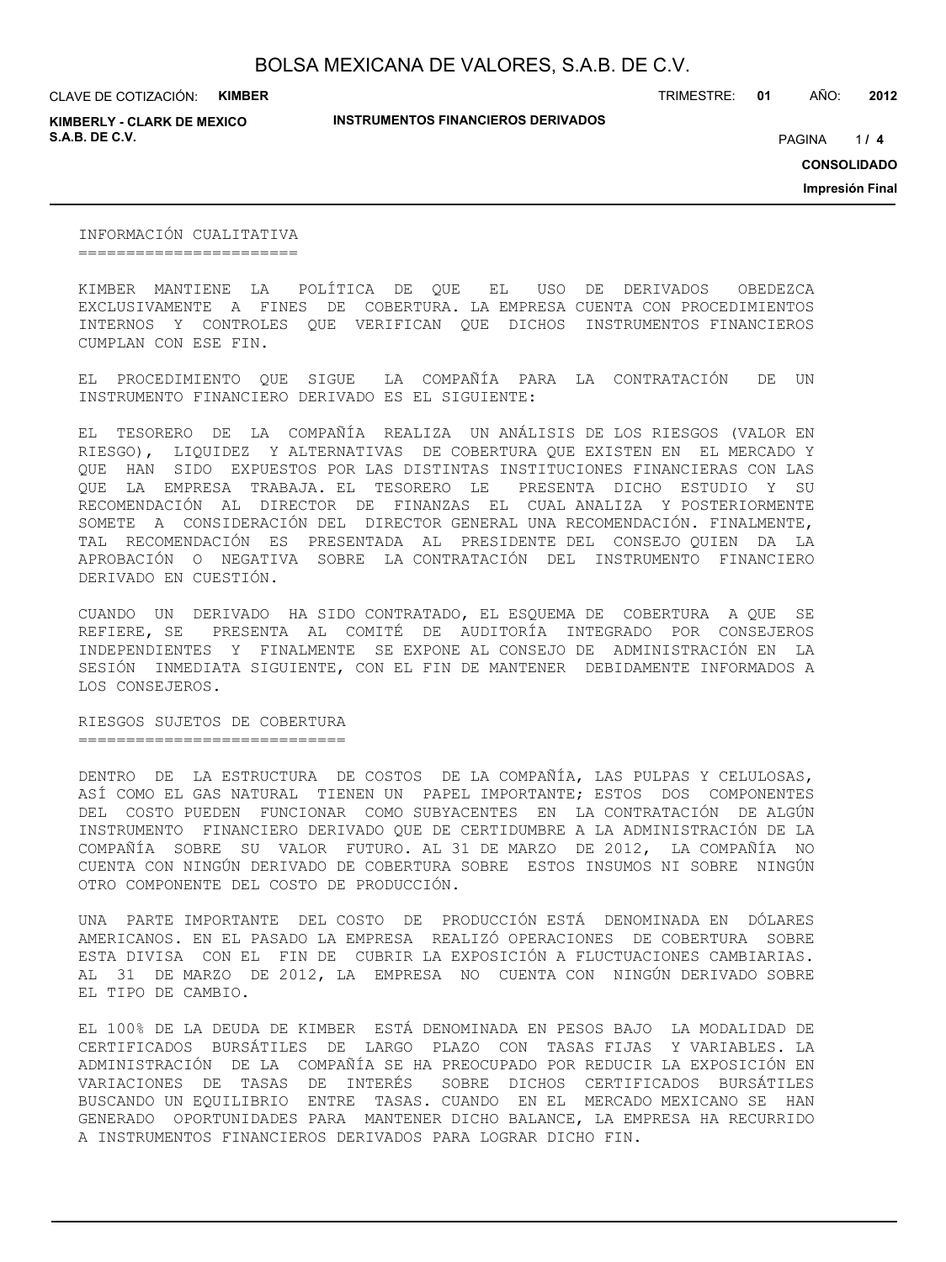CLAVE DE COTIZACIÓN: **KIMBER**

**KIMBERLY - CLARK DE MEXICO S.A.B. DE C.V.** *A* **PAGINA <b>***11* **<b>4 PAGINA** *4 PAGINA <i>4 PAGINA 4 PAGINA 4 PAGINA <i>4 PAGINA*

**INSTRUMENTOS FINANCIEROS DERIVADOS**

TRIMESTRE: **01** AÑO: **2012**

 $1/4$ 

**CONSOLIDADO**

**Impresión Final**

INFORMACIÓN CUALITATIVA =======================

KIMBER MANTIENE LA POLÍTICA DE QUE EL USO DE DERIVADOS OBEDEZCA EXCLUSIVAMENTE A FINES DE COBERTURA. LA EMPRESA CUENTA CON PROCEDIMIENTOS INTERNOS Y CONTROLES QUE VERIFICAN QUE DICHOS INSTRUMENTOS FINANCIEROS CUMPLAN CON ESE FIN.

EL PROCEDIMIENTO QUE SIGUE LA COMPAÑÍA PARA LA CONTRATACIÓN DE UN INSTRUMENTO FINANCIERO DERIVADO ES EL SIGUIENTE:

EL TESORERO DE LA COMPAÑÍA REALIZA UN ANÁLISIS DE LOS RIESGOS (VALOR EN RIESGO), LIQUIDEZ Y ALTERNATIVAS DE COBERTURA QUE EXISTEN EN EL MERCADO Y QUE HAN SIDO EXPUESTOS POR LAS DISTINTAS INSTITUCIONES FINANCIERAS CON LAS QUE LA EMPRESA TRABAJA. EL TESORERO LE PRESENTA DICHO ESTUDIO Y SU RECOMENDACIÓN AL DIRECTOR DE FINANZAS EL CUAL ANALIZA Y POSTERIORMENTE SOMETE A CONSIDERACIÓN DEL DIRECTOR GENERAL UNA RECOMENDACIÓN. FINALMENTE, TAL RECOMENDACIÓN ES PRESENTADA AL PRESIDENTE DEL CONSEJO QUIEN DA LA APROBACIÓN O NEGATIVA SOBRE LA CONTRATACIÓN DEL INSTRUMENTO FINANCIERO DERIVADO EN CUESTIÓN.

CUANDO UN DERIVADO HA SIDO CONTRATADO, EL ESQUEMA DE COBERTURA A QUE SE REFIERE, SE PRESENTA AL COMITÉ DE AUDITORÍA INTEGRADO POR CONSEJEROS INDEPENDIENTES Y FINALMENTE SE EXPONE AL CONSEJO DE ADMINISTRACIÓN EN LA SESIÓN INMEDIATA SIGUIENTE, CON EL FIN DE MANTENER DEBIDAMENTE INFORMADOS A LOS CONSEJEROS.

RIESGOS SUJETOS DE COBERTURA ============================

DENTRO DE LA ESTRUCTURA DE COSTOS DE LA COMPAÑÍA, LAS PULPAS Y CELULOSAS, ASÍ COMO EL GAS NATURAL TIENEN UN PAPEL IMPORTANTE; ESTOS DOS COMPONENTES DEL COSTO PUEDEN FUNCIONAR COMO SUBYACENTES EN LA CONTRATACIÓN DE ALGÚN INSTRUMENTO FINANCIERO DERIVADO QUE DE CERTIDUMBRE A LA ADMINISTRACIÓN DE LA COMPAÑÍA SOBRE SU VALOR FUTURO. AL 31 DE MARZO DE 2012, LA COMPAÑÍA NO CUENTA CON NINGÚN DERIVADO DE COBERTURA SOBRE ESTOS INSUMOS NI SOBRE NINGÚN OTRO COMPONENTE DEL COSTO DE PRODUCCIÓN.

UNA PARTE IMPORTANTE DEL COSTO DE PRODUCCIÓN ESTÁ DENOMINADA EN DÓLARES AMERICANOS. EN EL PASADO LA EMPRESA REALIZÓ OPERACIONES DE COBERTURA SOBRE ESTA DIVISA CON EL FIN DE CUBRIR LA EXPOSICIÓN A FLUCTUACIONES CAMBIARIAS. AL 31 DE MARZO DE 2012, LA EMPRESA NO CUENTA CON NINGÚN DERIVADO SOBRE EL TIPO DE CAMBIO.

EL 100% DE LA DEUDA DE KIMBER ESTÁ DENOMINADA EN PESOS BAJO LA MODALIDAD DE CERTIFICADOS BURSÁTILES DE LARGO PLAZO CON TASAS FIJAS Y VARIABLES. LA ADMINISTRACIÓN DE LA COMPAÑÍA SE HA PREOCUPADO POR REDUCIR LA EXPOSICIÓN EN VARIACIONES DE TASAS DE INTERÉS SOBRE DICHOS CERTIFICADOS BURSÁTILES BUSCANDO UN EQUILIBRIO ENTRE TASAS. CUANDO EN EL MERCADO MEXICANO SE HAN GENERADO OPORTUNIDADES PARA MANTENER DICHO BALANCE, LA EMPRESA HA RECURRIDO A INSTRUMENTOS FINANCIEROS DERIVADOS PARA LOGRAR DICHO FIN.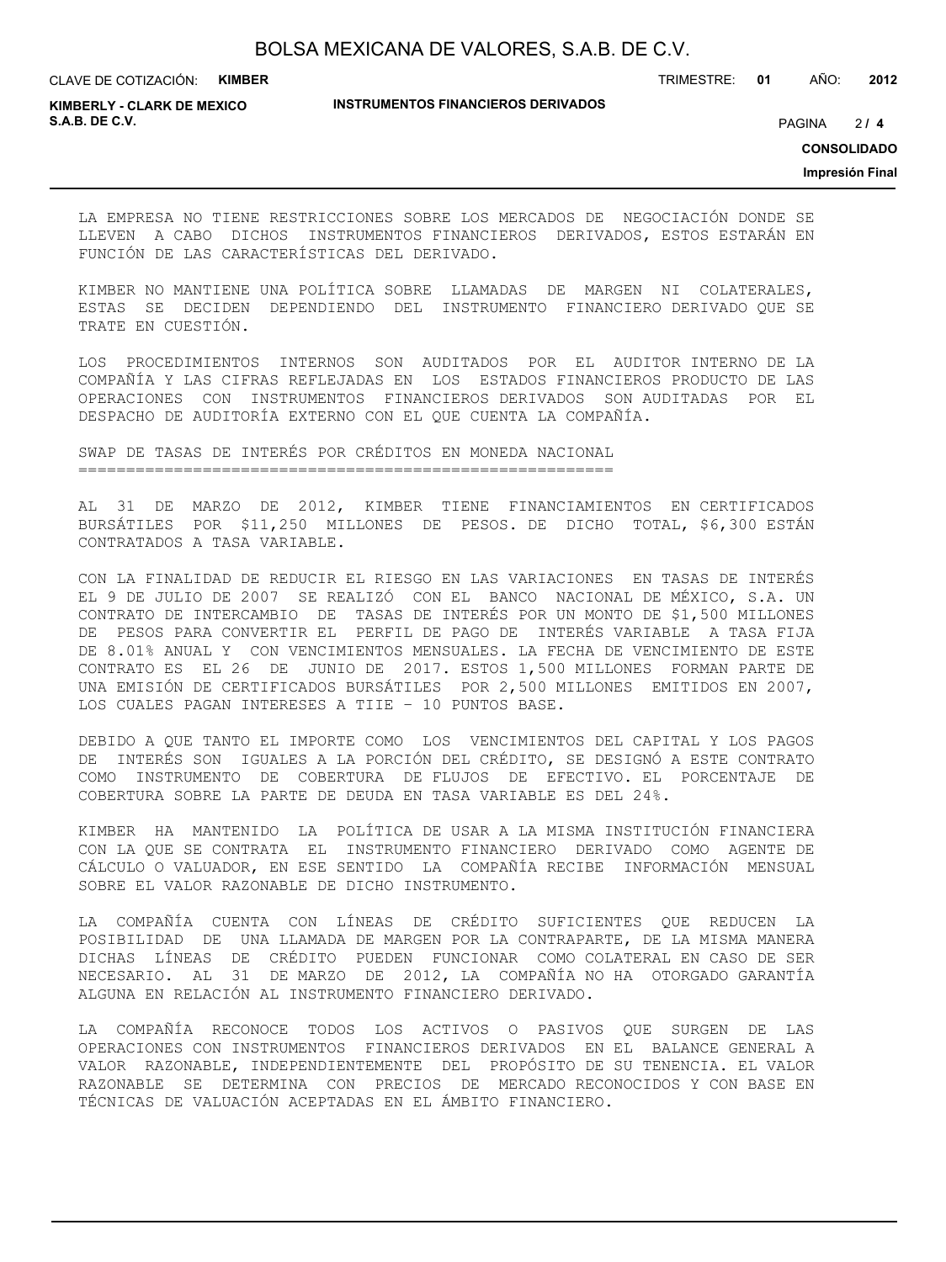CLAVE DE COTIZACIÓN: **KIMBER**

**INSTRUMENTOS FINANCIEROS DERIVADOS**

TRIMESTRE: **01** AÑO: **2012**

**KIMBERLY - CLARK DE MEXICO S.A.B. DE C.V.** PAGINA **/ 4**

 $214$ 

**CONSOLIDADO**

**Impresión Final**

LA EMPRESA NO TIENE RESTRICCIONES SOBRE LOS MERCADOS DE NEGOCIACIÓN DONDE SE LLEVEN A CABO DICHOS INSTRUMENTOS FINANCIEROS DERIVADOS, ESTOS ESTARÁN EN FUNCIÓN DE LAS CARACTERÍSTICAS DEL DERIVADO.

KIMBER NO MANTIENE UNA POLÍTICA SOBRE LLAMADAS DE MARGEN NI COLATERALES, ESTAS SE DECIDEN DEPENDIENDO DEL INSTRUMENTO FINANCIERO DERIVADO QUE SE TRATE EN CUESTIÓN.

LOS PROCEDIMIENTOS INTERNOS SON AUDITADOS POR EL AUDITOR INTERNO DE LA COMPAÑÍA Y LAS CIFRAS REFLEJADAS EN LOS ESTADOS FINANCIEROS PRODUCTO DE LAS OPERACIONES CON INSTRUMENTOS FINANCIEROS DERIVADOS SON AUDITADAS POR EL DESPACHO DE AUDITORÍA EXTERNO CON EL QUE CUENTA LA COMPAÑÍA.

SWAP DE TASAS DE INTERÉS POR CRÉDITOS EN MONEDA NACIONAL ========================================================

AL 31 DE MARZO DE 2012, KIMBER TIENE FINANCIAMIENTOS EN CERTIFICADOS BURSÁTILES POR \$11,250 MILLONES DE PESOS. DE DICHO TOTAL, \$6,300 ESTÁN CONTRATADOS A TASA VARIABLE.

CON LA FINALIDAD DE REDUCIR EL RIESGO EN LAS VARIACIONES EN TASAS DE INTERÉS EL 9 DE JULIO DE 2007 SE REALIZÓ CON EL BANCO NACIONAL DE MÉXICO, S.A. UN CONTRATO DE INTERCAMBIO DE TASAS DE INTERÉS POR UN MONTO DE \$1,500 MILLONES DE PESOS PARA CONVERTIR EL PERFIL DE PAGO DE INTERÉS VARIABLE A TASA FIJA DE 8.01% ANUAL Y CON VENCIMIENTOS MENSUALES. LA FECHA DE VENCIMIENTO DE ESTE CONTRATO ES EL 26 DE JUNIO DE 2017. ESTOS 1,500 MILLONES FORMAN PARTE DE UNA EMISIÓN DE CERTIFICADOS BURSÁTILES POR 2,500 MILLONES EMITIDOS EN 2007, LOS CUALES PAGAN INTERESES A TIIE – 10 PUNTOS BASE.

DEBIDO A QUE TANTO EL IMPORTE COMO LOS VENCIMIENTOS DEL CAPITAL Y LOS PAGOS DE INTERÉS SON IGUALES A LA PORCIÓN DEL CRÉDITO, SE DESIGNÓ A ESTE CONTRATO COMO INSTRUMENTO DE COBERTURA DE FLUJOS DE EFECTIVO. EL PORCENTAJE DE COBERTURA SOBRE LA PARTE DE DEUDA EN TASA VARIABLE ES DEL 24%.

KIMBER HA MANTENIDO LA POLÍTICA DE USAR A LA MISMA INSTITUCIÓN FINANCIERA CON LA QUE SE CONTRATA EL INSTRUMENTO FINANCIERO DERIVADO COMO AGENTE DE CÁLCULO O VALUADOR, EN ESE SENTIDO LA COMPAÑÍA RECIBE INFORMACIÓN MENSUAL SOBRE EL VALOR RAZONABLE DE DICHO INSTRUMENTO.

LA COMPAÑÍA CUENTA CON LÍNEAS DE CRÉDITO SUFICIENTES QUE REDUCEN LA POSIBILIDAD DE UNA LLAMADA DE MARGEN POR LA CONTRAPARTE, DE LA MISMA MANERA DICHAS LÍNEAS DE CRÉDITO PUEDEN FUNCIONAR COMO COLATERAL EN CASO DE SER NECESARIO. AL 31 DE MARZO DE 2012, LA COMPAÑÍA NO HA OTORGADO GARANTÍA ALGUNA EN RELACIÓN AL INSTRUMENTO FINANCIERO DERIVADO.

LA COMPAÑÍA RECONOCE TODOS LOS ACTIVOS O PASIVOS QUE SURGEN DE LAS OPERACIONES CON INSTRUMENTOS FINANCIEROS DERIVADOS EN EL BALANCE GENERAL A VALOR RAZONABLE, INDEPENDIENTEMENTE DEL PROPÓSITO DE SU TENENCIA. EL VALOR RAZONABLE SE DETERMINA CON PRECIOS DE MERCADO RECONOCIDOS Y CON BASE EN TÉCNICAS DE VALUACIÓN ACEPTADAS EN EL ÁMBITO FINANCIERO.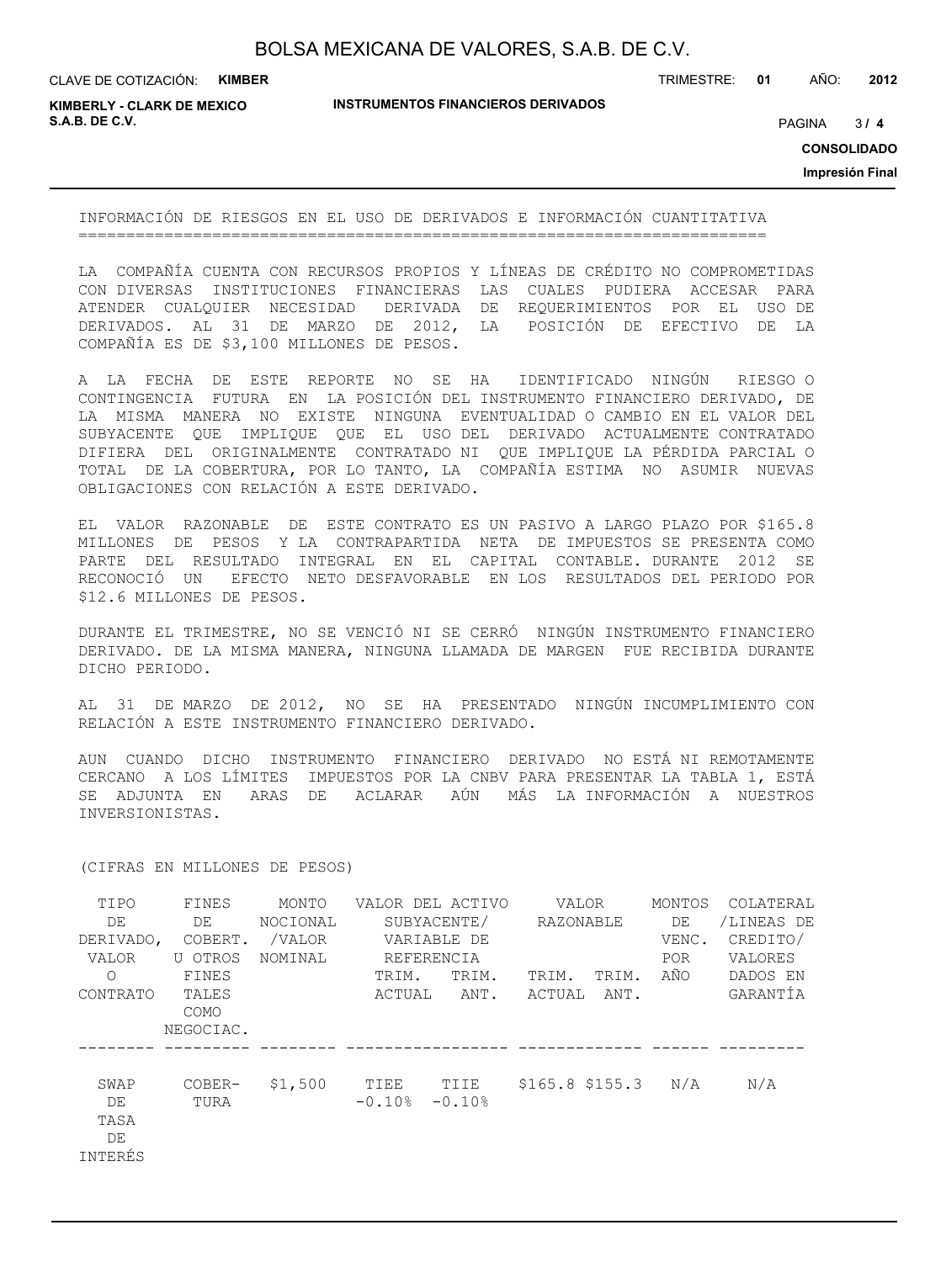CLAVE DE COTIZACIÓN: **KIMBER**

**INSTRUMENTOS FINANCIEROS DERIVADOS**

TRIMESTRE: **01** AÑO: **2012**

**KIMBERLY - CLARK DE MEXICO S.A.B. DE C.V.** PAGINA **/ 4**

 $3/4$ 

**CONSOLIDADO**

**Impresión Final**

INFORMACIÓN DE RIESGOS EN EL USO DE DERIVADOS E INFORMACIÓN CUANTITATIVA ========================================================================

LA COMPAÑÍA CUENTA CON RECURSOS PROPIOS Y LÍNEAS DE CRÉDITO NO COMPROMETIDAS CON DIVERSAS INSTITUCIONES FINANCIERAS LAS CUALES PUDIERA ACCESAR PARA ATENDER CUALQUIER NECESIDAD DERIVADA DE REQUERIMIENTOS POR EL USO DE<br>DERIVADOS. AL 31 DE MARZO DE 2012, LA POSICIÓN DE EFECTIVO DE LA DERIVADOS. AL 31 DE MARZO DE 2012, LA COMPAÑÍA ES DE \$3,100 MILLONES DE PESOS.

A LA FECHA DE ESTE REPORTE NO SE HA IDENTIFICADO NINGÚN RIESGO O CONTINGENCIA FUTURA EN LA POSICIÓN DEL INSTRUMENTO FINANCIERO DERIVADO, DE LA MISMA MANERA NO EXISTE NINGUNA EVENTUALIDAD O CAMBIO EN EL VALOR DEL SUBYACENTE QUE IMPLIQUE QUE EL USO DEL DERIVADO ACTUALMENTE CONTRATADO DIFIERA DEL ORIGINALMENTE CONTRATADO NI QUE IMPLIQUE LA PÉRDIDA PARCIAL O TOTAL DE LA COBERTURA, POR LO TANTO, LA COMPAÑÍA ESTIMA NO ASUMIR NUEVAS OBLIGACIONES CON RELACIÓN A ESTE DERIVADO.

EL VALOR RAZONABLE DE ESTE CONTRATO ES UN PASIVO A LARGO PLAZO POR \$165.8 MILLONES DE PESOS Y LA CONTRAPARTIDA NETA DE IMPUESTOS SE PRESENTA COMO PARTE DEL RESULTADO INTEGRAL EN EL CAPITAL CONTABLE. DURANTE 2012 SE RECONOCIÓ UN EFECTO NETO DESFAVORABLE EN LOS RESULTADOS DEL PERIODO POR \$12.6 MILLONES DE PESOS.

DURANTE EL TRIMESTRE, NO SE VENCIÓ NI SE CERRÓ NINGÚN INSTRUMENTO FINANCIERO DERIVADO. DE LA MISMA MANERA, NINGUNA LLAMADA DE MARGEN FUE RECIBIDA DURANTE DICHO PERIODO.

AL 31 DE MARZO DE 2012, NO SE HA PRESENTADO NINGÚN INCUMPLIMIENTO CON RELACIÓN A ESTE INSTRUMENTO FINANCIERO DERIVADO.

AUN CUANDO DICHO INSTRUMENTO FINANCIERO DERIVADO NO ESTÁ NI REMOTAMENTE CERCANO A LOS LÍMITES IMPUESTOS POR LA CNBV PARA PRESENTAR LA TABLA 1, ESTÁ SE ADJUNTA EN ARAS DE ACLARAR AÚN MÁS LA INFORMACIÓN A NUESTROS INVERSIONISTAS.

| TIPO<br>DE<br>DERIVADO,<br>VALOR<br>$\Omega$<br>CONTRATO | FINES<br>DE<br>COBERT.<br>U OTROS<br>FINES<br>TALES<br>COMO<br>NEGOCIAC. | MONTO<br>NOCIONAL<br>/VALOR<br>NOMINAL | TRIM.<br>ACTUAL  | VALOR DEL ACTIVO<br>SUBYACENTE/<br>VARIABLE DE<br>REFERENCIA<br>TRIM.<br>ANT. | VALOR<br>RAZONABLE<br>TRIM.<br>ACTUAL | TRIM.<br>ANT. | MONTOS<br>DE<br>VENC.<br>POR.<br>AÑO | COLATERAL<br>/LINEAS DE<br>CREDITO/<br>VALORES<br>DADOS EN<br>GARANTÍA |
|----------------------------------------------------------|--------------------------------------------------------------------------|----------------------------------------|------------------|-------------------------------------------------------------------------------|---------------------------------------|---------------|--------------------------------------|------------------------------------------------------------------------|
| SWAP<br>DE<br>TASA<br>DE<br>INTERÉS                      | COBER-<br>TURA                                                           | \$1,500                                | TIEE<br>$-0.10%$ | TIIE<br>$-0.10%$                                                              | $$165.8$ $$155.3$                     |               | N/A                                  | N/A                                                                    |

(CIFRAS EN MILLONES DE PESOS)